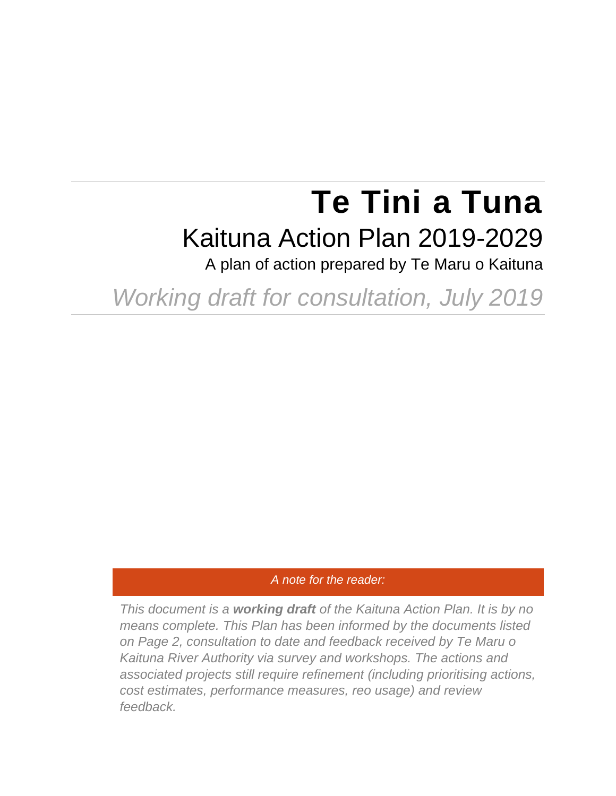# **Te Tini a Tuna** Kaituna Action Plan 2019-2029

A plan of action prepared by Te Maru o Kaituna

*Working draft for consultation, July 2019*

#### *A note for the reader:*

*This document is a working draft of the Kaituna Action Plan. It is by no means complete. This Plan has been informed by the documents listed on Page 2, consultation to date and feedback received by Te Maru o Kaituna River Authority via survey and workshops. The actions and associated projects still require refinement (including prioritising actions, cost estimates, performance measures, reo usage) and review feedback.*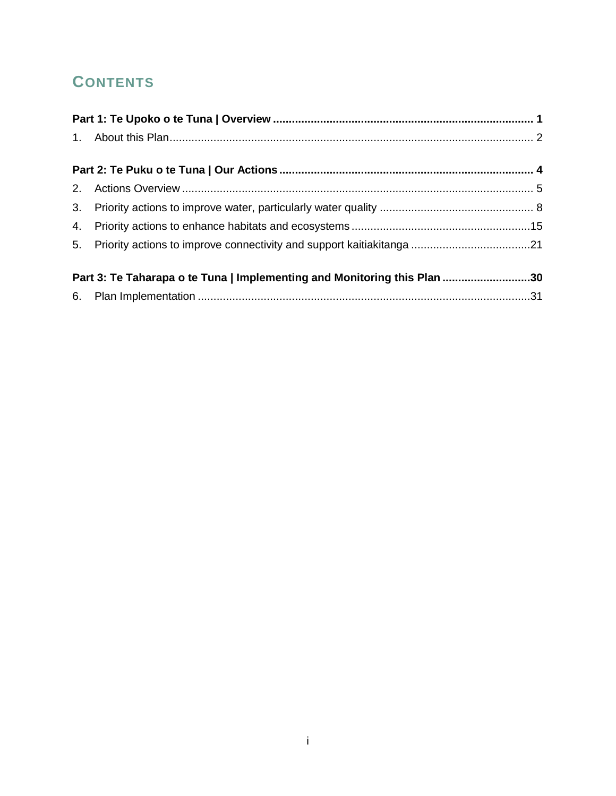## **CONTENTS**

| Part 3: Te Taharapa o te Tuna   Implementing and Monitoring this Plan 30 |  |
|--------------------------------------------------------------------------|--|
|                                                                          |  |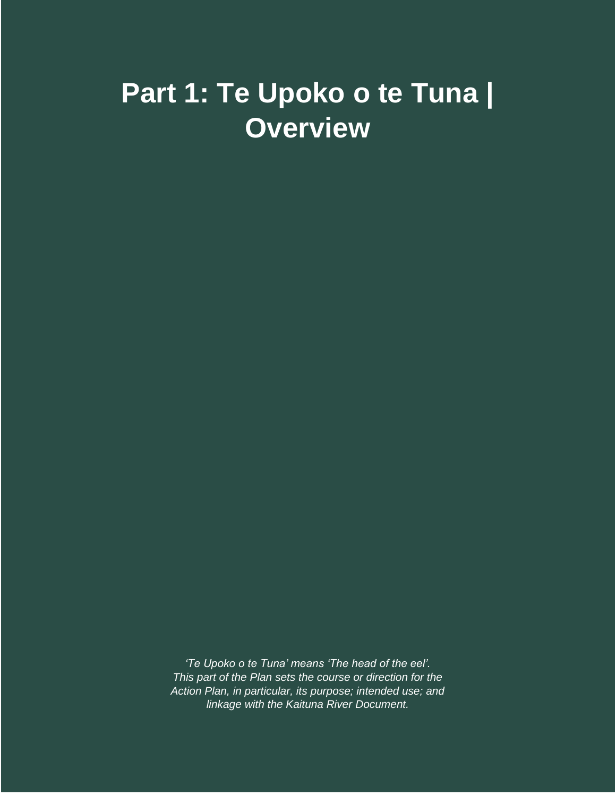# <span id="page-2-0"></span>**Part 1: Te Upoko o te Tuna | Overview**

*'Te Upoko o te Tuna' means 'The head of the eel'. This part of the Plan sets the course or direction for the Action Plan, in particular, its purpose; intended use; and linkage with the Kaituna River Document.*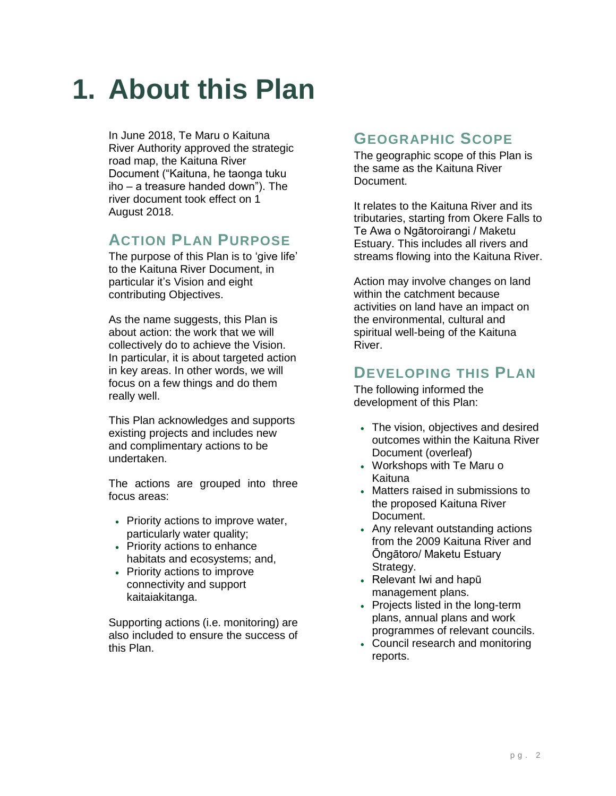# <span id="page-3-0"></span>**1. About this Plan**

In June 2018, Te Maru o Kaituna River Authority approved the strategic road map, the Kaituna River Document ("Kaituna, he taonga tuku iho – a treasure handed down"). The river document took effect on 1 August 2018.

### **ACTION PLAN PURPOSE**

The purpose of this Plan is to 'give life' to the Kaituna River Document, in particular it's Vision and eight contributing Objectives.

As the name suggests, this Plan is about action: the work that we will collectively do to achieve the Vision. In particular, it is about targeted action in key areas. In other words, we will focus on a few things and do them really well.

This Plan acknowledges and supports existing projects and includes new and complimentary actions to be undertaken.

The actions are grouped into three focus areas:

- Priority actions to improve water, particularly water quality;
- Priority actions to enhance habitats and ecosystems; and,
- Priority actions to improve connectivity and support kaitaiakitanga.

Supporting actions (i.e. monitoring) are also included to ensure the success of this Plan.

### **GEOGRAPHIC SCOPE**

The geographic scope of this Plan is the same as the Kaituna River Document.

It relates to the Kaituna River and its tributaries, starting from Okere Falls to Te Awa o Ngātoroirangi / Maketu Estuary. This includes all rivers and streams flowing into the Kaituna River.

Action may involve changes on land within the catchment because activities on land have an impact on the environmental, cultural and spiritual well-being of the Kaituna River.

### **DEVELOPING THIS PLAN**

The following informed the development of this Plan:

- The vision, objectives and desired outcomes within the Kaituna River Document (overleaf)
- Workshops with Te Maru o Kaituna
- Matters raised in submissions to the proposed Kaituna River Document.
- Any relevant outstanding actions from the 2009 Kaituna River and Ōngātoro/ Maketu Estuary Strategy.
- Relevant Iwi and hapū management plans.
- Projects listed in the long-term plans, annual plans and work programmes of relevant councils.
- Council research and monitoring reports.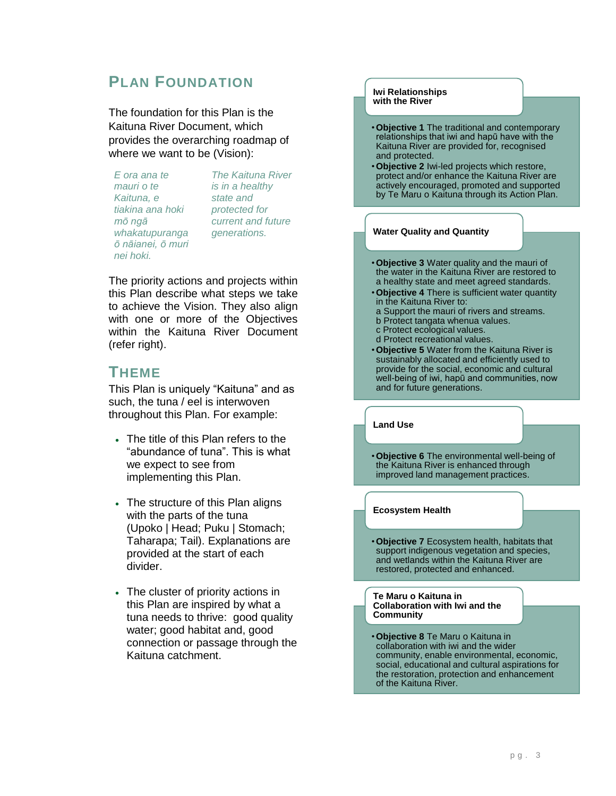### **PLAN FOUNDATION**

The foundation for this Plan is the Kaituna River Document, which provides the overarching roadmap of where we want to be (Vision):

*E ora ana te mauri o te Kaituna, e tiakina ana hoki mō ngā whakatupuranga ō nāianei, ō muri nei hoki.*

*The Kaituna River is in a healthy state and protected for current and future generations.*

The priority actions and projects within this Plan describe what steps we take to achieve the Vision. They also align with one or more of the Objectives within the Kaituna River Document (refer right).

#### **THEME**

This Plan is uniquely "Kaituna" and as such, the tuna / eel is interwoven throughout this Plan. For example:

- The title of this Plan refers to the "abundance of tuna". This is what we expect to see from implementing this Plan.
- The structure of this Plan aligns with the parts of the tuna (Upoko | Head; Puku | Stomach; Taharapa; Tail). Explanations are provided at the start of each divider.
- The cluster of priority actions in this Plan are inspired by what a tuna needs to thrive: good quality water; good habitat and, good connection or passage through the Kaituna catchment.

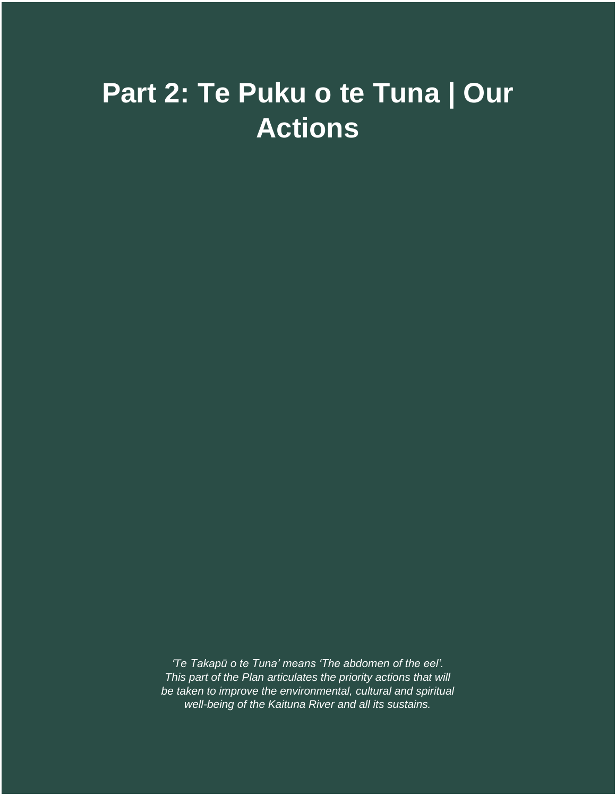# <span id="page-5-0"></span>**Part 2: Te Puku o te Tuna | Our Actions**

*'Te Takapū o te Tuna' means 'The abdomen of the eel'. This part of the Plan articulates the priority actions that will be taken to improve the environmental, cultural and spiritual well-being of the Kaituna River and all its sustains.*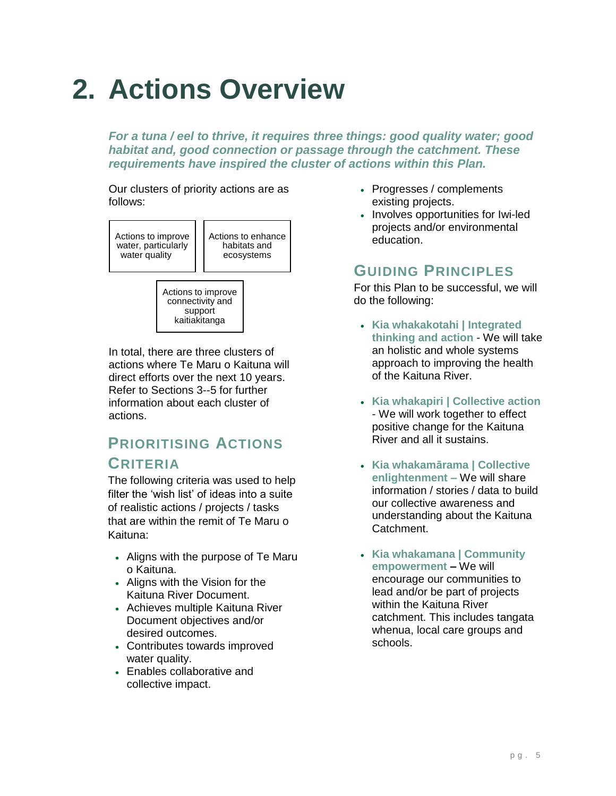# <span id="page-6-0"></span>**2. Actions Overview**

*For a tuna / eel to thrive, it requires three things: good quality water; good habitat and, good connection or passage through the catchment. These requirements have inspired the cluster of actions within this Plan.* 

Our clusters of priority actions are as follows:



Actions to improve connectivity and support kaitiakitanga

In total, there are three clusters of actions where Te Maru o Kaituna will direct efforts over the next 10 years. Refer to Sections 3--5 for further information about each cluster of actions.

## **PRIORITISING ACTIONS**

#### **CRITERIA**

The following criteria was used to help filter the 'wish list' of ideas into a suite of realistic actions / projects / tasks that are within the remit of Te Maru o Kaituna:

- Aligns with the purpose of Te Maru o Kaituna.
- Aligns with the Vision for the Kaituna River Document.
- Achieves multiple Kaituna River Document objectives and/or desired outcomes.
- Contributes towards improved water quality.
- Enables collaborative and collective impact.
- Progresses / complements existing projects.
- Involves opportunities for Iwi-led projects and/or environmental education.

### **GUIDING PRINCIPLES**

For this Plan to be successful, we will do the following:

- **Kia whakakotahi | Integrated thinking and action** - We will take an holistic and whole systems approach to improving the health of the Kaituna River.
- **Kia whakapiri | Collective action** - We will work together to effect positive change for the Kaituna River and all it sustains.
- **Kia whakamārama | Collective enlightenment –** We will share information / stories / data to build our collective awareness and understanding about the Kaituna Catchment.
- **Kia whakamana | Community empowerment –** We will encourage our communities to lead and/or be part of projects within the Kaituna River catchment. This includes tangata whenua, local care groups and schools.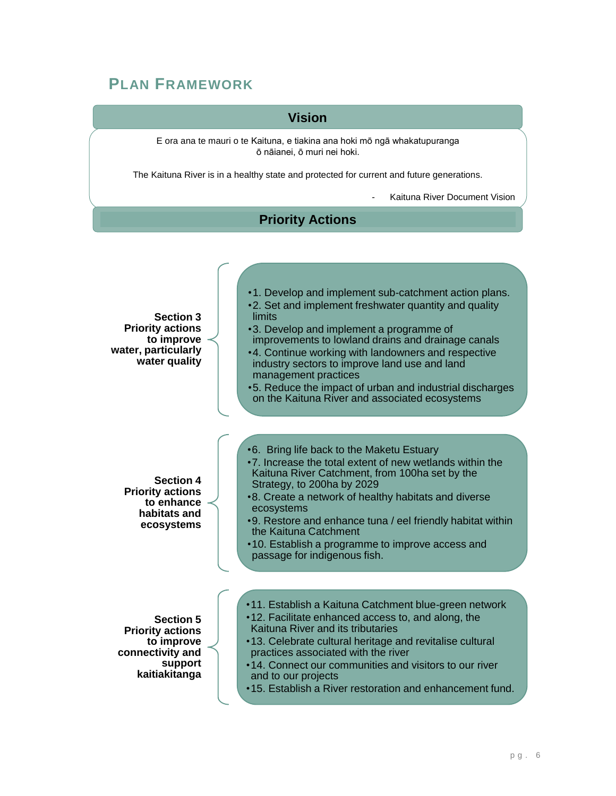### **PLAN FRAMEWORK**

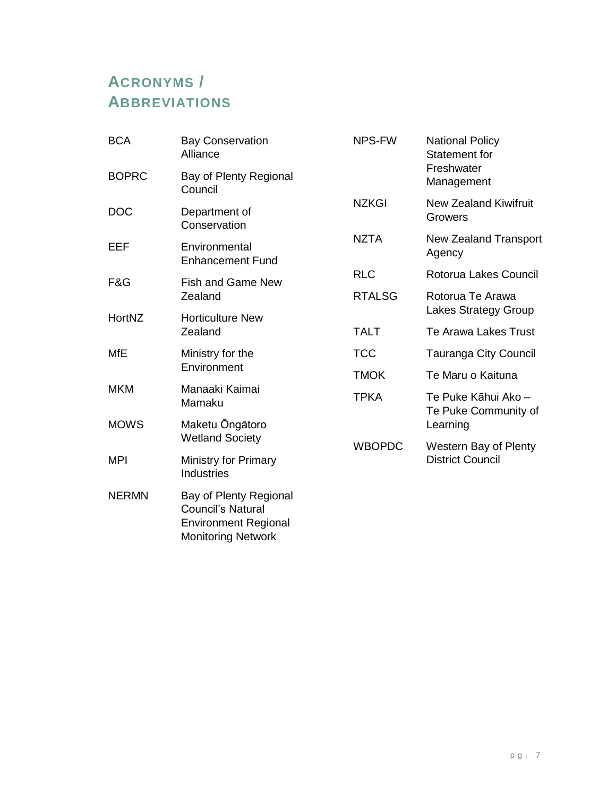## **ACRONYMS / ABBREVIATIONS**

| <b>BCA</b>   | <b>Bay Conservation</b><br>Alliance                                               | <b>NPS-FW</b> | <b>National Policy</b><br><b>Statement for</b> |
|--------------|-----------------------------------------------------------------------------------|---------------|------------------------------------------------|
| <b>BOPRC</b> | Bay of Plenty Regional<br>Council                                                 |               | Freshwater<br>Management                       |
| <b>DOC</b>   | Department of<br>Conservation                                                     | <b>NZKGI</b>  | <b>New Zealand Kiwifruit</b><br>Growers        |
| EEF          | Environmental<br><b>Enhancement Fund</b>                                          | <b>NZTA</b>   | <b>New Zealand Transport</b><br>Agency         |
| F&G          | <b>Fish and Game New</b>                                                          | <b>RLC</b>    | Rotorua Lakes Council                          |
|              | Zealand                                                                           | <b>RTALSG</b> | Rotorua Te Arawa<br>Lakes Strategy Group       |
| HortNZ       | <b>Horticulture New</b><br>Zealand                                                | <b>TALT</b>   | <b>Te Arawa Lakes Trust</b>                    |
| <b>MfE</b>   | Ministry for the                                                                  | <b>TCC</b>    | Tauranga City Council                          |
|              | Environment                                                                       | <b>TMOK</b>   | Te Maru o Kaituna                              |
| <b>MKM</b>   | Manaaki Kaimai<br>Mamaku                                                          | <b>TPKA</b>   | Te Puke Kāhui Ako -<br>Te Puke Community of    |
| <b>MOWS</b>  | Maketu Ongātoro                                                                   |               | Learning                                       |
|              | <b>Wetland Society</b>                                                            | <b>WBOPDC</b> | Western Bay of Plenty                          |
| <b>MPI</b>   | <b>Ministry for Primary</b><br><b>Industries</b>                                  |               | <b>District Council</b>                        |
| <b>NERMN</b> | Bay of Plenty Regional<br><b>Council's Natural</b><br><b>Environment Regional</b> |               |                                                |

Monitoring Network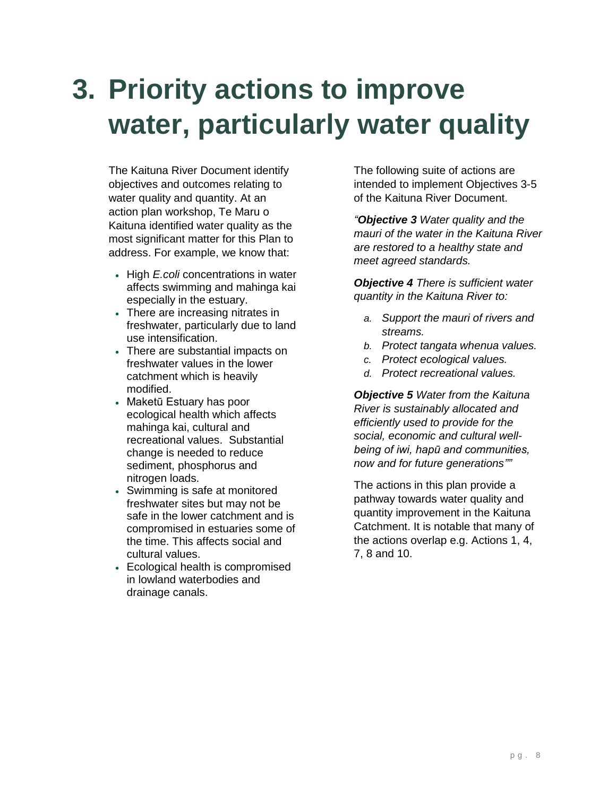# <span id="page-9-0"></span>**3. Priority actions to improve water, particularly water quality**

The Kaituna River Document identify objectives and outcomes relating to water quality and quantity. At an action plan workshop, Te Maru o Kaituna identified water quality as the most significant matter for this Plan to address. For example, we know that:

- High *E.coli* concentrations in water affects swimming and mahinga kai especially in the estuary.
- There are increasing nitrates in freshwater, particularly due to land use intensification.
- There are substantial impacts on freshwater values in the lower catchment which is heavily modified.
- Maketū Estuary has poor ecological health which affects mahinga kai, cultural and recreational values. Substantial change is needed to reduce sediment, phosphorus and nitrogen loads.
- Swimming is safe at monitored freshwater sites but may not be safe in the lower catchment and is compromised in estuaries some of the time. This affects social and cultural values.
- Ecological health is compromised in lowland waterbodies and drainage canals.

The following suite of actions are intended to implement Objectives 3-5 of the Kaituna River Document.

*"Objective 3 Water quality and the mauri of the water in the Kaituna River are restored to a healthy state and meet agreed standards.*

*Objective 4 There is sufficient water quantity in the Kaituna River to:*

- *a. Support the mauri of rivers and streams.*
- *b. Protect tangata whenua values.*
- *c. Protect ecological values.*
- *d. Protect recreational values.*

*Objective 5 Water from the Kaituna River is sustainably allocated and efficiently used to provide for the social, economic and cultural wellbeing of iwi, hapū and communities, now and for future generations""*

The actions in this plan provide a pathway towards water quality and quantity improvement in the Kaituna Catchment. It is notable that many of the actions overlap e.g. Actions 1, 4, 7, 8 and 10.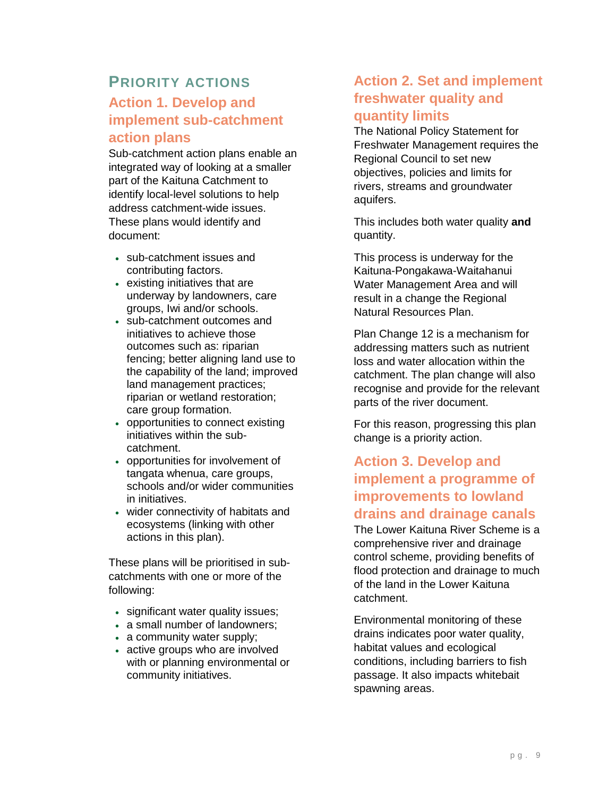### **PRIORITY ACTIONS**

### **Action 1. Develop and implement sub-catchment action plans**

Sub-catchment action plans enable an integrated way of looking at a smaller part of the Kaituna Catchment to identify local-level solutions to help address catchment-wide issues. These plans would identify and document:

- sub-catchment issues and contributing factors.
- existing initiatives that are underway by landowners, care groups, Iwi and/or schools.
- sub-catchment outcomes and initiatives to achieve those outcomes such as: riparian fencing; better aligning land use to the capability of the land; improved land management practices; riparian or wetland restoration; care group formation.
- opportunities to connect existing initiatives within the subcatchment.
- opportunities for involvement of tangata whenua, care groups, schools and/or wider communities in initiatives.
- wider connectivity of habitats and ecosystems (linking with other actions in this plan).

These plans will be prioritised in subcatchments with one or more of the following:

- significant water quality issues;
- a small number of landowners;
- a community water supply;
- active groups who are involved with or planning environmental or community initiatives.

#### **Action 2. Set and implement freshwater quality and quantity limits**

The National Policy Statement for Freshwater Management requires the Regional Council to set new objectives, policies and limits for rivers, streams and groundwater aquifers.

This includes both water quality **and** quantity.

This process is underway for the Kaituna-Pongakawa-Waitahanui Water Management Area and will result in a change the Regional Natural Resources Plan.

Plan Change 12 is a mechanism for addressing matters such as nutrient loss and water allocation within the catchment. The plan change will also recognise and provide for the relevant parts of the river document.

For this reason, progressing this plan change is a priority action.

### **Action 3. Develop and implement a programme of improvements to lowland drains and drainage canals**

The Lower Kaituna River Scheme is a comprehensive river and drainage control scheme, providing benefits of flood protection and drainage to much of the land in the Lower Kaituna catchment.

Environmental monitoring of these drains indicates poor water quality, habitat values and ecological conditions, including barriers to fish passage. It also impacts whitebait spawning areas.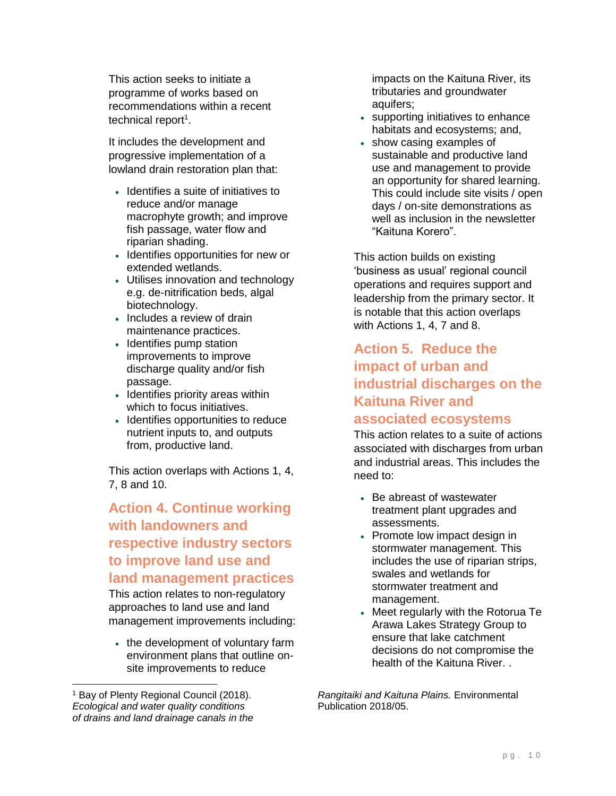This action seeks to initiate a programme of works based on recommendations within a recent technical report<sup>1</sup>.

It includes the development and progressive implementation of a lowland drain restoration plan that:

- Identifies a suite of initiatives to reduce and/or manage macrophyte growth; and improve fish passage, water flow and riparian shading.
- Identifies opportunities for new or extended wetlands.
- Utilises innovation and technology e.g. de-nitrification beds, algal biotechnology.
- Includes a review of drain maintenance practices.
- Identifies pump station improvements to improve discharge quality and/or fish passage.
- Identifies priority areas within which to focus initiatives.
- Identifies opportunities to reduce nutrient inputs to, and outputs from, productive land.

This action overlaps with Actions 1, 4, 7, 8 and 10.

#### **Action 4. Continue working with landowners and respective industry sectors to improve land use and land management practices**

This action relates to non-regulatory approaches to land use and land management improvements including:

• the development of voluntary farm environment plans that outline onsite improvements to reduce

impacts on the Kaituna River, its tributaries and groundwater aquifers;

- supporting initiatives to enhance habitats and ecosystems; and,
- show casing examples of sustainable and productive land use and management to provide an opportunity for shared learning. This could include site visits / open days / on-site demonstrations as well as inclusion in the newsletter "Kaituna Korero".

This action builds on existing 'business as usual' regional council operations and requires support and leadership from the primary sector. It is notable that this action overlaps with Actions 1, 4, 7 and 8.

#### **Action 5. Reduce the impact of urban and industrial discharges on the Kaituna River and associated ecosystems**

This action relates to a suite of actions associated with discharges from urban

and industrial areas. This includes the need to:

- Be abreast of wastewater treatment plant upgrades and assessments.
- Promote low impact design in stormwater management. This includes the use of riparian strips, swales and wetlands for stormwater treatment and management.
- Meet regularly with the Rotorua Te Arawa Lakes Strategy Group to ensure that lake catchment decisions do not compromise the health of the Kaituna River. .

*Rangitaiki and Kaituna Plains.* Environmental Publication 2018/05.

<sup>1</sup> Bay of Plenty Regional Council (2018). *Ecological and water quality conditions of drains and land drainage canals in the*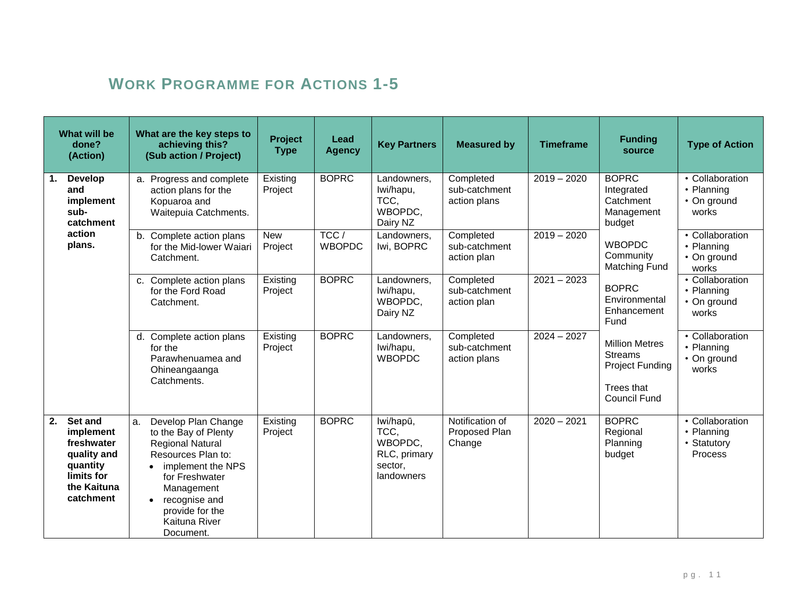## **WORK PROGRAMME FOR ACTIONS 1-5**

| What will be<br>done?<br>(Action)                                                                             | What are the key steps to<br>achieving this?<br>(Sub action / Project)                                                                                                                                                    | Project<br><b>Type</b> | Lead<br><b>Agency</b> | <b>Key Partners</b>                                                   | <b>Measured by</b>                         | <b>Timeframe</b> | <b>Funding</b><br>source                                                                               | <b>Type of Action</b>                                          |
|---------------------------------------------------------------------------------------------------------------|---------------------------------------------------------------------------------------------------------------------------------------------------------------------------------------------------------------------------|------------------------|-----------------------|-----------------------------------------------------------------------|--------------------------------------------|------------------|--------------------------------------------------------------------------------------------------------|----------------------------------------------------------------|
| <b>Develop</b><br>1.<br>and<br>implement<br>sub-<br>catchment                                                 | a. Progress and complete<br>action plans for the<br>Kopuaroa and<br>Waitepuia Catchments.                                                                                                                                 | Existing<br>Project    | <b>BOPRC</b>          | Landowners,<br>Iwi/hapu,<br>TCC,<br>WBOPDC,<br>Dairy NZ               | Completed<br>sub-catchment<br>action plans | $2019 - 2020$    | <b>BOPRC</b><br>Integrated<br>Catchment<br>Management<br>budget                                        | • Collaboration<br>• Planning<br>• On ground<br>works          |
| action<br>plans.                                                                                              | b. Complete action plans<br>for the Mid-lower Waiari<br>Catchment.                                                                                                                                                        | <b>New</b><br>Project  | TCC/<br><b>WBOPDC</b> | Landowners,<br>Iwi, BOPRC                                             | Completed<br>sub-catchment<br>action plan  | $2019 - 2020$    | <b>WBOPDC</b><br>Community<br><b>Matching Fund</b>                                                     | • Collaboration<br>• Planning<br>• On ground<br>works          |
|                                                                                                               | c. Complete action plans<br>for the Ford Road<br>Catchment.                                                                                                                                                               | Existing<br>Project    | <b>BOPRC</b>          | Landowners,<br>Iwi/hapu,<br>WBOPDC,<br>Dairy NZ                       | Completed<br>sub-catchment<br>action plan  | $2021 - 2023$    | <b>BOPRC</b><br>Environmental<br>Enhancement<br>Fund                                                   | • Collaboration<br>• Planning<br>• On ground<br>works          |
|                                                                                                               | d. Complete action plans<br>for the<br>Parawhenuamea and<br>Ohineangaanga<br>Catchments.                                                                                                                                  | Existing<br>Project    | <b>BOPRC</b>          | Landowners,<br>Iwi/hapu,<br><b>WBOPDC</b>                             | Completed<br>sub-catchment<br>action plans | $2024 - 2027$    | <b>Million Metres</b><br><b>Streams</b><br><b>Project Funding</b><br>Trees that<br><b>Council Fund</b> | • Collaboration<br>• Planning<br>• On ground<br>works          |
| 2.<br>Set and<br>implement<br>freshwater<br>quality and<br>quantity<br>limits for<br>the Kaituna<br>catchment | Develop Plan Change<br>a.<br>to the Bay of Plenty<br><b>Regional Natural</b><br>Resources Plan to:<br>implement the NPS<br>for Freshwater<br>Management<br>recognise and<br>provide for the<br>Kaituna River<br>Document. | Existing<br>Project    | <b>BOPRC</b>          | lwi/hapū,<br>TCC,<br>WBOPDC,<br>RLC, primary<br>sector,<br>landowners | Notification of<br>Proposed Plan<br>Change | $2020 - 2021$    | <b>BOPRC</b><br>Regional<br>Planning<br>budget                                                         | • Collaboration<br>• Planning<br>• Statutory<br><b>Process</b> |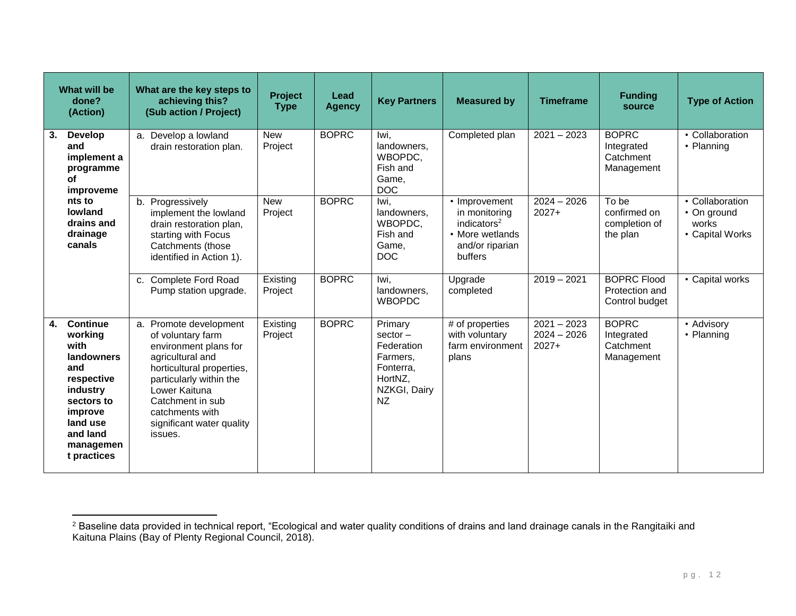|    | What will be<br>done?<br>(Action)                                                                                                                                     | What are the key steps to<br>achieving this?<br>(Sub action / Project)                                                                                                                                                                           | Project<br><b>Type</b> | Lead<br><b>Agency</b> | <b>Key Partners</b>                                                                           | <b>Measured by</b>                                                                                         | <b>Timeframe</b>                          | <b>Funding</b><br>source                               | <b>Type of Action</b>                                      |
|----|-----------------------------------------------------------------------------------------------------------------------------------------------------------------------|--------------------------------------------------------------------------------------------------------------------------------------------------------------------------------------------------------------------------------------------------|------------------------|-----------------------|-----------------------------------------------------------------------------------------------|------------------------------------------------------------------------------------------------------------|-------------------------------------------|--------------------------------------------------------|------------------------------------------------------------|
| 3. | <b>Develop</b><br>and<br>implement a<br>programme<br><b>of</b><br>improveme                                                                                           | a. Develop a lowland<br>drain restoration plan.                                                                                                                                                                                                  | <b>New</b><br>Project  | <b>BOPRC</b>          | Iwi,<br>landowners,<br>WBOPDC.<br>Fish and<br>Game,<br><b>DOC</b>                             | Completed plan                                                                                             | $2021 - 2023$                             | <b>BOPRC</b><br>Integrated<br>Catchment<br>Management  | • Collaboration<br>• Planning                              |
|    | nts to<br>lowland<br>drains and<br>drainage<br>canals                                                                                                                 | b. Progressively<br>implement the lowland<br>drain restoration plan,<br>starting with Focus<br>Catchments (those<br>identified in Action 1).                                                                                                     | <b>New</b><br>Project  | <b>BOPRC</b>          | Iwi.<br>landowners.<br>WBOPDC,<br>Fish and<br>Game.<br><b>DOC</b>                             | • Improvement<br>in monitoring<br>indicators <sup>2</sup><br>• More wetlands<br>and/or riparian<br>buffers | $2024 - 2026$<br>$2027+$                  | To be<br>confirmed on<br>completion of<br>the plan     | • Collaboration<br>• On ground<br>works<br>• Capital Works |
|    |                                                                                                                                                                       | c. Complete Ford Road<br>Pump station upgrade.                                                                                                                                                                                                   | Existing<br>Project    | <b>BOPRC</b>          | Iwi,<br>landowners,<br><b>WBOPDC</b>                                                          | Upgrade<br>completed                                                                                       | $2019 - 2021$                             | <b>BOPRC Flood</b><br>Protection and<br>Control budget | • Capital works                                            |
| 4. | <b>Continue</b><br>working<br>with<br><b>landowners</b><br>and<br>respective<br>industry<br>sectors to<br>improve<br>land use<br>and land<br>managemen<br>t practices | a. Promote development<br>of voluntary farm<br>environment plans for<br>agricultural and<br>horticultural properties,<br>particularly within the<br>Lower Kaituna<br>Catchment in sub<br>catchments with<br>significant water quality<br>issues. | Existing<br>Project    | <b>BOPRC</b>          | Primary<br>$sector -$<br>Federation<br>Farmers,<br>Fonterra.<br>HortNZ.<br>NZKGI, Dairy<br>NZ | # of properties<br>with voluntary<br>farm environment<br>plans                                             | $2021 - 2023$<br>$2024 - 2026$<br>$2027+$ | <b>BOPRC</b><br>Integrated<br>Catchment<br>Management  | • Advisory<br>• Planning                                   |

 $\overline{a}$ 

 $^2$  Baseline data provided in technical report, "Ecological and water quality conditions of drains and land drainage canals in the Rangitaiki and Kaituna Plains (Bay of Plenty Regional Council, 2018).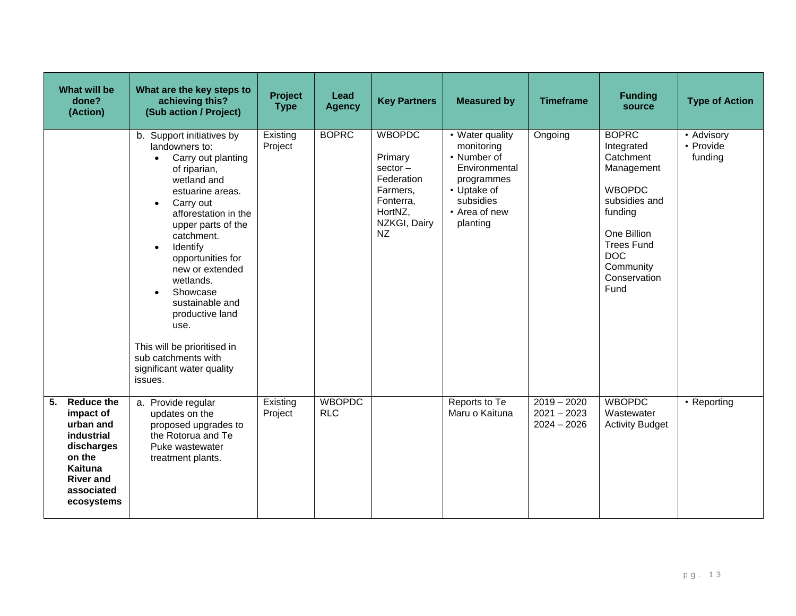| What will be<br>done?<br>(Action)                                                                                                                  | What are the key steps to<br>achieving this?<br>(Sub action / Project)                                                                                                                                                                                                                                                                                                                                                                                                     | Project<br><b>Type</b> | Lead<br><b>Agency</b>       | <b>Key Partners</b>                                                                                            | <b>Measured by</b>                                                                                                                   | <b>Timeframe</b>                                | <b>Funding</b><br>source                                                                                                                                                                  | <b>Type of Action</b>              |
|----------------------------------------------------------------------------------------------------------------------------------------------------|----------------------------------------------------------------------------------------------------------------------------------------------------------------------------------------------------------------------------------------------------------------------------------------------------------------------------------------------------------------------------------------------------------------------------------------------------------------------------|------------------------|-----------------------------|----------------------------------------------------------------------------------------------------------------|--------------------------------------------------------------------------------------------------------------------------------------|-------------------------------------------------|-------------------------------------------------------------------------------------------------------------------------------------------------------------------------------------------|------------------------------------|
|                                                                                                                                                    | b. Support initiatives by<br>landowners to:<br>Carry out planting<br>$\bullet$<br>of riparian,<br>wetland and<br>estuarine areas.<br>Carry out<br>$\bullet$<br>afforestation in the<br>upper parts of the<br>catchment.<br>Identify<br>$\bullet$<br>opportunities for<br>new or extended<br>wetlands.<br>Showcase<br>$\bullet$<br>sustainable and<br>productive land<br>use.<br>This will be prioritised in<br>sub catchments with<br>significant water quality<br>issues. | Existing<br>Project    | <b>BOPRC</b>                | <b>WBOPDC</b><br>Primary<br>$sector -$<br>Federation<br>Farmers,<br>Fonterra,<br>HortNZ,<br>NZKGI, Dairy<br>NZ | • Water quality<br>monitoring<br>• Number of<br>Environmental<br>programmes<br>• Uptake of<br>subsidies<br>• Area of new<br>planting | Ongoing                                         | <b>BOPRC</b><br>Integrated<br>Catchment<br>Management<br><b>WBOPDC</b><br>subsidies and<br>funding<br>One Billion<br><b>Trees Fund</b><br><b>DOC</b><br>Community<br>Conservation<br>Fund | • Advisory<br>• Provide<br>funding |
| 5.<br><b>Reduce the</b><br>impact of<br>urban and<br>industrial<br>discharges<br>on the<br>Kaituna<br><b>River and</b><br>associated<br>ecosystems | a. Provide regular<br>updates on the<br>proposed upgrades to<br>the Rotorua and Te<br>Puke wastewater<br>treatment plants.                                                                                                                                                                                                                                                                                                                                                 | Existing<br>Project    | <b>WBOPDC</b><br><b>RLC</b> |                                                                                                                | Reports to Te<br>Maru o Kaituna                                                                                                      | $2019 - 2020$<br>$2021 - 2023$<br>$2024 - 2026$ | <b>WBOPDC</b><br>Wastewater<br><b>Activity Budget</b>                                                                                                                                     | • Reporting                        |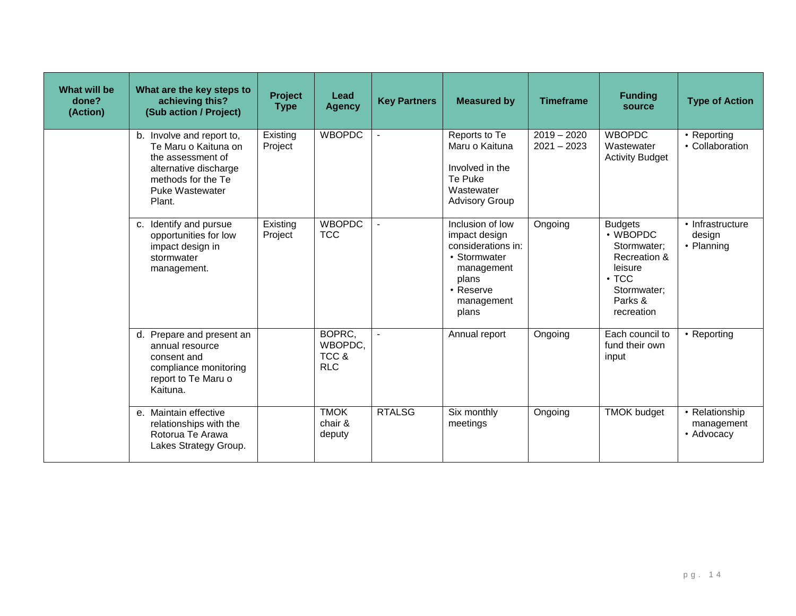| What will be<br>done?<br>(Action) | What are the key steps to<br>achieving this?<br>(Sub action / Project)                                                                                    | Project<br><b>Type</b> | Lead<br><b>Agency</b>                    | <b>Key Partners</b> | <b>Measured by</b>                                                                                                                 | <b>Timeframe</b>               | <b>Funding</b><br>source                                                                                                    | <b>Type of Action</b>                      |
|-----------------------------------|-----------------------------------------------------------------------------------------------------------------------------------------------------------|------------------------|------------------------------------------|---------------------|------------------------------------------------------------------------------------------------------------------------------------|--------------------------------|-----------------------------------------------------------------------------------------------------------------------------|--------------------------------------------|
|                                   | b. Involve and report to,<br>Te Maru o Kaituna on<br>the assessment of<br>alternative discharge<br>methods for the Te<br><b>Puke Wastewater</b><br>Plant. | Existing<br>Project    | <b>WBOPDC</b>                            |                     | Reports to Te<br>Maru o Kaituna<br>Involved in the<br>Te Puke<br>Wastewater<br><b>Advisory Group</b>                               | $2019 - 2020$<br>$2021 - 2023$ | <b>WBOPDC</b><br>Wastewater<br><b>Activity Budget</b>                                                                       | • Reporting<br>• Collaboration             |
|                                   | c. Identify and pursue<br>opportunities for low<br>impact design in<br>stormwater<br>management.                                                          | Existing<br>Project    | <b>WBOPDC</b><br><b>TCC</b>              |                     | Inclusion of low<br>impact design<br>considerations in:<br>• Stormwater<br>management<br>plans<br>• Reserve<br>management<br>plans | Ongoing                        | <b>Budgets</b><br>• WBOPDC<br>Stormwater:<br>Recreation &<br>leisure<br>$\cdot$ TCC<br>Stormwater:<br>Parks &<br>recreation | • Infrastructure<br>design<br>• Planning   |
|                                   | d. Prepare and present an<br>annual resource<br>consent and<br>compliance monitoring<br>report to Te Maru o<br>Kaituna.                                   |                        | BOPRC.<br>WBOPDC,<br>TCC &<br><b>RLC</b> | $\blacksquare$      | Annual report                                                                                                                      | Ongoing                        | Each council to<br>fund their own<br>input                                                                                  | • Reporting                                |
|                                   | e. Maintain effective<br>relationships with the<br>Rotorua Te Arawa<br>Lakes Strategy Group.                                                              |                        | <b>TMOK</b><br>chair &<br>deputy         | <b>RTALSG</b>       | Six monthly<br>meetings                                                                                                            | Ongoing                        | <b>TMOK budget</b>                                                                                                          | • Relationship<br>management<br>• Advocacv |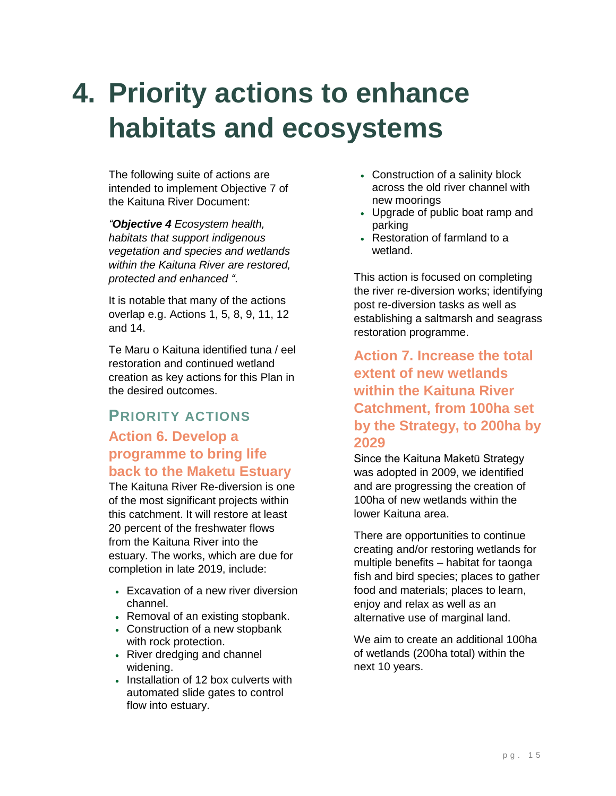# <span id="page-16-0"></span>**4. Priority actions to enhance habitats and ecosystems**

The following suite of actions are intended to implement Objective 7 of the Kaituna River Document:

*"Objective 4 Ecosystem health, habitats that support indigenous vegetation and species and wetlands within the Kaituna River are restored, protected and enhanced "*.

It is notable that many of the actions overlap e.g. Actions 1, 5, 8, 9, 11, 12 and 14.

Te Maru o Kaituna identified tuna / eel restoration and continued wetland creation as key actions for this Plan in the desired outcomes.

### **PRIORITY ACTIONS Action 6. Develop a programme to bring life back to the Maketu Estuary**

The Kaituna River Re-diversion is one of the most significant projects within this catchment. It will restore at least 20 percent of the freshwater flows from the Kaituna River into the estuary. The works, which are due for completion in late 2019, include:

- Excavation of a new river diversion channel.
- Removal of an existing stopbank.
- Construction of a new stopbank with rock protection.
- River dredging and channel widening.
- Installation of 12 box culverts with automated slide gates to control flow into estuary.
- Construction of a salinity block across the old river channel with new moorings
- Upgrade of public boat ramp and parking
- Restoration of farmland to a wetland.

This action is focused on completing the river re-diversion works; identifying post re-diversion tasks as well as establishing a saltmarsh and seagrass restoration programme.

### **Action 7. Increase the total extent of new wetlands within the Kaituna River Catchment, from 100ha set by the Strategy, to 200ha by 2029**

Since the Kaituna Maketū Strategy was adopted in 2009, we identified and are progressing the creation of 100ha of new wetlands within the lower Kaituna area.

There are opportunities to continue creating and/or restoring wetlands for multiple benefits – habitat for taonga fish and bird species; places to gather food and materials; places to learn, enjoy and relax as well as an alternative use of marginal land.

We aim to create an additional 100ha of wetlands (200ha total) within the next 10 years.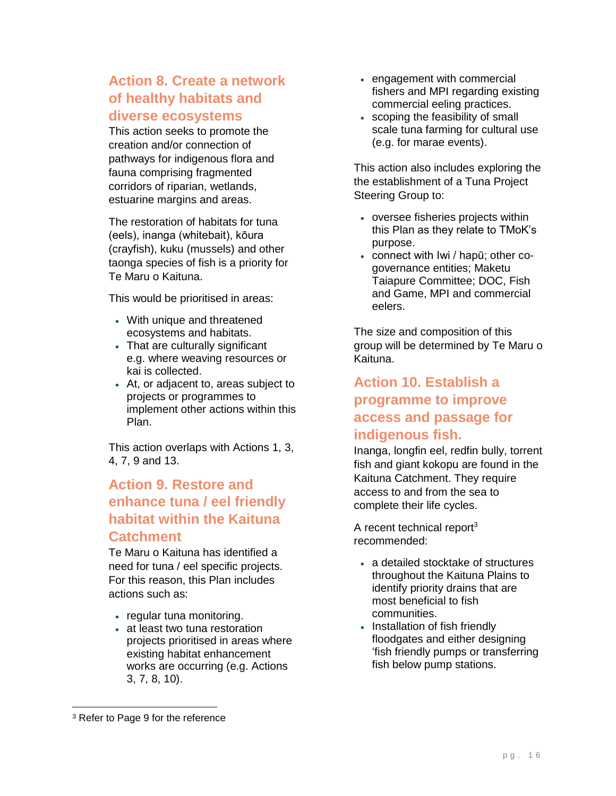#### **Action 8. Create a network of healthy habitats and diverse ecosystems**

This action seeks to promote the creation and/or connection of pathways for indigenous flora and fauna comprising fragmented corridors of riparian, wetlands, estuarine margins and areas.

The restoration of habitats for tuna (eels), inanga (whitebait), kōura (crayfish), kuku (mussels) and other taonga species of fish is a priority for Te Maru o Kaituna.

This would be prioritised in areas:

- With unique and threatened ecosystems and habitats.
- That are culturally significant e.g. where weaving resources or kai is collected.
- At, or adjacent to, areas subject to projects or programmes to implement other actions within this Plan.

This action overlaps with Actions 1, 3, 4, 7, 9 and 13.

#### **Action 9. Restore and enhance tuna / eel friendly habitat within the Kaituna Catchment**

Te Maru o Kaituna has identified a need for tuna / eel specific projects. For this reason, this Plan includes actions such as:

- regular tuna monitoring.
- at least two tuna restoration projects prioritised in areas where existing habitat enhancement works are occurring (e.g. Actions 3, 7, 8, 10).
- engagement with commercial fishers and MPI regarding existing commercial eeling practices.
- scoping the feasibility of small scale tuna farming for cultural use (e.g. for marae events).

This action also includes exploring the the establishment of a Tuna Project Steering Group to:

- oversee fisheries projects within this Plan as they relate to TMoK's purpose.
- connect with Iwi / hapū; other cogovernance entities; Maketu Taiapure Committee; DOC, Fish and Game, MPI and commercial eelers.

The size and composition of this group will be determined by Te Maru o Kaituna.

#### **Action 10. Establish a programme to improve access and passage for indigenous fish.**

Inanga, longfin eel, redfin bully, torrent fish and giant kokopu are found in the Kaituna Catchment. They require access to and from the sea to complete their life cycles.

A recent technical report<sup>3</sup> recommended:

- a detailed stocktake of structures throughout the Kaituna Plains to identify priority drains that are most beneficial to fish communities.
- Installation of fish friendly floodgates and either designing 'fish friendly pumps or transferring fish below pump stations.

 $\overline{a}$ 

<sup>&</sup>lt;sup>3</sup> Refer to Page 9 for the reference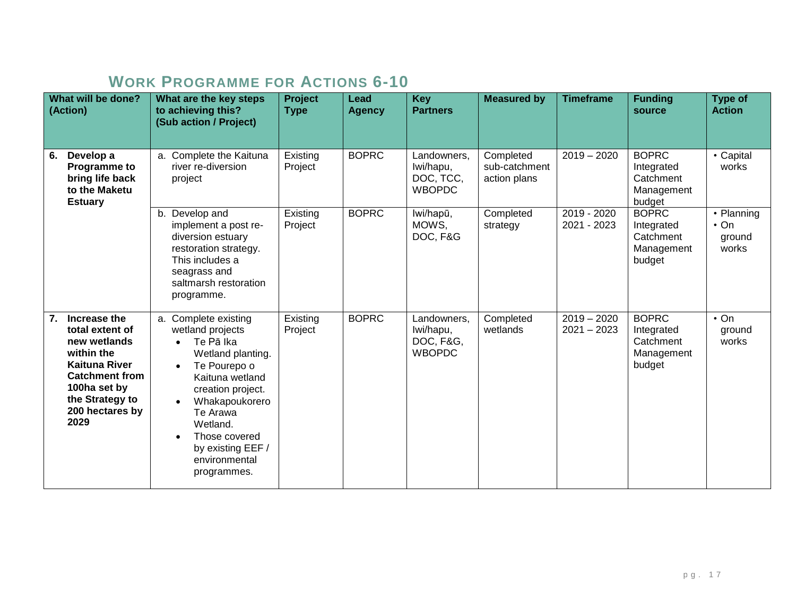## **WORK PROGRAMME FOR ACTIONS 6-10**

|    | What will be done?<br>(Action)                                                                                                                                               | What are the key steps<br>to achieving this?<br>(Sub action / Project)                                                                                                                                                                             | <b>Project</b><br><b>Type</b> | <b>Lead</b><br><b>Agency</b> | <b>Key</b><br><b>Partners</b>                          | <b>Measured by</b>                         | <b>Timeframe</b>               | <b>Funding</b><br>source                                        | <b>Type of</b><br><b>Action</b>             |
|----|------------------------------------------------------------------------------------------------------------------------------------------------------------------------------|----------------------------------------------------------------------------------------------------------------------------------------------------------------------------------------------------------------------------------------------------|-------------------------------|------------------------------|--------------------------------------------------------|--------------------------------------------|--------------------------------|-----------------------------------------------------------------|---------------------------------------------|
| 6. | Develop a<br>Programme to<br>bring life back<br>to the Maketu<br><b>Estuary</b>                                                                                              | a. Complete the Kaituna<br>river re-diversion<br>project                                                                                                                                                                                           | Existing<br>Project           | <b>BOPRC</b>                 | Landowners,<br>Iwi/hapu,<br>DOC, TCC,<br><b>WBOPDC</b> | Completed<br>sub-catchment<br>action plans | $2019 - 2020$                  | <b>BOPRC</b><br>Integrated<br>Catchment<br>Management<br>budget | • Capital<br>works                          |
|    |                                                                                                                                                                              | b. Develop and<br>implement a post re-<br>diversion estuary<br>restoration strategy.<br>This includes a<br>seagrass and<br>saltmarsh restoration<br>programme.                                                                                     | Existing<br>Project           | <b>BOPRC</b>                 | lwi/hapū,<br>MOWS,<br>DOC, F&G                         | Completed<br>strategy                      | 2019 - 2020<br>2021 - 2023     | <b>BOPRC</b><br>Integrated<br>Catchment<br>Management<br>budget | • Planning<br>$\cdot$ On<br>ground<br>works |
| 7. | Increase the<br>total extent of<br>new wetlands<br>within the<br><b>Kaituna River</b><br><b>Catchment from</b><br>100ha set by<br>the Strategy to<br>200 hectares by<br>2029 | a. Complete existing<br>wetland projects<br>Te Pā Ika<br>Wetland planting.<br>Te Pourepo o<br>Kaituna wetland<br>creation project.<br>Whakapoukorero<br>Te Arawa<br>Wetland.<br>Those covered<br>by existing EEF /<br>environmental<br>programmes. | Existing<br>Project           | <b>BOPRC</b>                 | Landowners,<br>Iwi/hapu,<br>DOC, F&G,<br><b>WBOPDC</b> | Completed<br>wetlands                      | $2019 - 2020$<br>$2021 - 2023$ | <b>BOPRC</b><br>Integrated<br>Catchment<br>Management<br>budget | $\cdot$ On<br>ground<br>works               |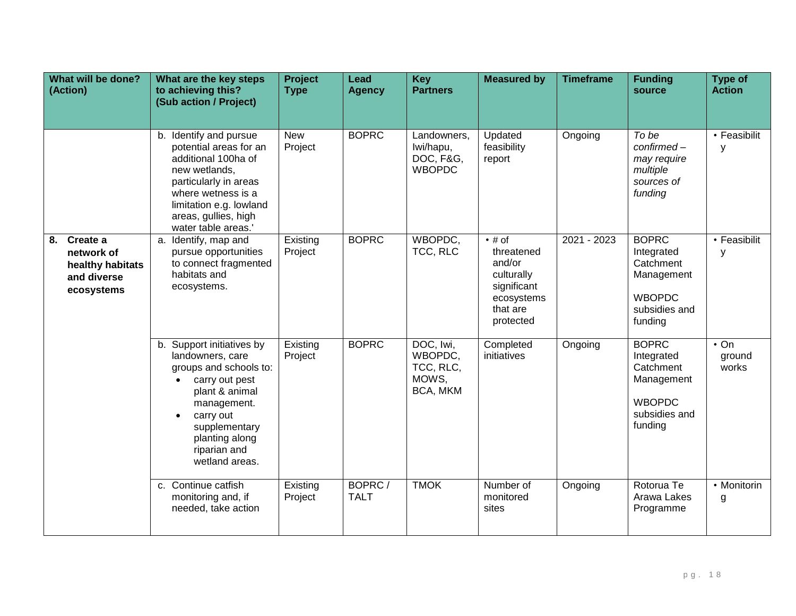| What will be done?<br>(Action)                                             | What are the key steps<br>to achieving this?<br>(Sub action / Project)                                                                                                                                            | Project<br><b>Type</b> | Lead<br><b>Agency</b> | <b>Key</b><br><b>Partners</b>                          | <b>Measured by</b>                                                                                         | <b>Timeframe</b> | <b>Funding</b><br>source                                                                           | <b>Type of</b><br><b>Action</b> |
|----------------------------------------------------------------------------|-------------------------------------------------------------------------------------------------------------------------------------------------------------------------------------------------------------------|------------------------|-----------------------|--------------------------------------------------------|------------------------------------------------------------------------------------------------------------|------------------|----------------------------------------------------------------------------------------------------|---------------------------------|
|                                                                            | b. Identify and pursue<br>potential areas for an<br>additional 100ha of<br>new wetlands,<br>particularly in areas<br>where wetness is a<br>limitation e.g. lowland<br>areas, gullies, high<br>water table areas.' | New<br>Project         | <b>BOPRC</b>          | Landowners,<br>Iwi/hapu,<br>DOC, F&G,<br><b>WBOPDC</b> | Updated<br>feasibility<br>report                                                                           | Ongoing          | To be<br>confirmed-<br>may require<br>multiple<br>sources of<br>funding                            | • Feasibilit<br>У               |
| 8. Create a<br>network of<br>healthy habitats<br>and diverse<br>ecosystems | a. Identify, map and<br>pursue opportunities<br>to connect fragmented<br>habitats and<br>ecosystems.                                                                                                              | Existing<br>Project    | <b>BOPRC</b>          | WBOPDC,<br>TCC, RLC                                    | $\bullet$ # of<br>threatened<br>and/or<br>culturally<br>significant<br>ecosystems<br>that are<br>protected | 2021 - 2023      | <b>BOPRC</b><br>Integrated<br>Catchment<br>Management<br><b>WBOPDC</b><br>subsidies and<br>funding | • Feasibilit<br>У               |
|                                                                            | b. Support initiatives by<br>landowners, care<br>groups and schools to:<br>carry out pest<br>plant & animal<br>management.<br>carry out<br>supplementary<br>planting along<br>riparian and<br>wetland areas.      | Existing<br>Project    | <b>BOPRC</b>          | DOC, Iwi,<br>WBOPDC,<br>TCC, RLC,<br>MOWS,<br>BCA, MKM | Completed<br>initiatives                                                                                   | Ongoing          | <b>BOPRC</b><br>Integrated<br>Catchment<br>Management<br><b>WBOPDC</b><br>subsidies and<br>funding | $\cdot$ On<br>ground<br>works   |
|                                                                            | c. Continue catfish<br>monitoring and, if<br>needed, take action                                                                                                                                                  | Existing<br>Project    | BOPRC/<br><b>TALT</b> | <b>TMOK</b>                                            | Number of<br>monitored<br>sites                                                                            | Ongoing          | Rotorua Te<br>Arawa Lakes<br>Programme                                                             | • Monitorin<br>g                |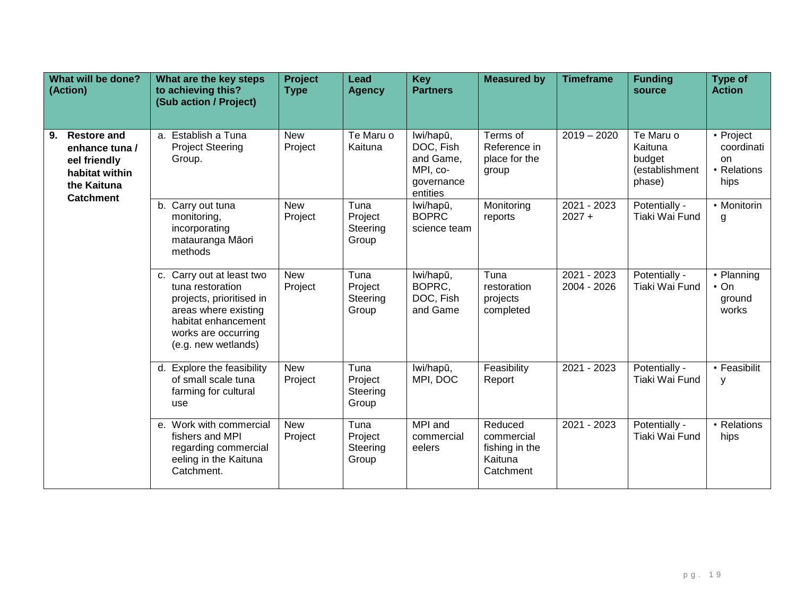| What will be done?<br>(Action)                                                                                  | What are the key steps<br>to achieving this?<br>(Sub action / Project)                                                                                                 | <b>Project</b><br><b>Type</b> | Lead<br><b>Agency</b>                | <b>Key</b><br><b>Partners</b>                                             | <b>Measured by</b>                                              | <b>Timeframe</b>           | <b>Funding</b><br>source                                   | <b>Type of</b><br><b>Action</b>                                 |
|-----------------------------------------------------------------------------------------------------------------|------------------------------------------------------------------------------------------------------------------------------------------------------------------------|-------------------------------|--------------------------------------|---------------------------------------------------------------------------|-----------------------------------------------------------------|----------------------------|------------------------------------------------------------|-----------------------------------------------------------------|
| <b>Restore and</b><br>9.<br>enhance tuna /<br>eel friendly<br>habitat within<br>the Kaituna<br><b>Catchment</b> | a. Establish a Tuna<br><b>Project Steering</b><br>Group.                                                                                                               | <b>New</b><br>Project         | Te Maru o<br>Kaituna                 | lwi/hapū,<br>DOC, Fish<br>and Game,<br>MPI, co-<br>governance<br>entities | Terms of<br>Reference in<br>place for the<br>group              | $2019 - 2020$              | Te Maru o<br>Kaituna<br>budget<br>(establishment<br>phase) | • Project<br>coordinati<br><sub>on</sub><br>• Relations<br>hips |
|                                                                                                                 | b. Carry out tuna<br>monitoring,<br>incorporating<br>matauranga Māori<br>methods                                                                                       | <b>New</b><br>Project         | Tuna<br>Project<br>Steering<br>Group | lwi/hapū,<br><b>BOPRC</b><br>science team                                 | Monitoring<br>reports                                           | $2021 - 2023$<br>$2027 +$  | Potentially -<br>Tiaki Wai Fund                            | • Monitorin<br>g                                                |
|                                                                                                                 | c. Carry out at least two<br>tuna restoration<br>projects, prioritised in<br>areas where existing<br>habitat enhancement<br>works are occurring<br>(e.g. new wetlands) | <b>New</b><br>Project         | Tuna<br>Project<br>Steering<br>Group | lwi/hapū,<br>BOPRC,<br>DOC, Fish<br>and Game                              | Tuna<br>restoration<br>projects<br>completed                    | 2021 - 2023<br>2004 - 2026 | Potentially -<br>Tiaki Wai Fund                            | • Planning<br>$\cdot$ On<br>ground<br>works                     |
|                                                                                                                 | d. Explore the feasibility<br>of small scale tuna<br>farming for cultural<br>use                                                                                       | <b>New</b><br>Project         | Tuna<br>Project<br>Steering<br>Group | lwi/hapū,<br>MPI, DOC                                                     | Feasibility<br>Report                                           | 2021 - 2023                | Potentially -<br>Tiaki Wai Fund                            | • Feasibilit<br>у                                               |
|                                                                                                                 | e. Work with commercial<br>fishers and MPI<br>regarding commercial<br>eeling in the Kaituna<br>Catchment.                                                              | <b>New</b><br>Project         | Tuna<br>Project<br>Steering<br>Group | MPI and<br>commercial<br>eelers                                           | Reduced<br>commercial<br>fishing in the<br>Kaituna<br>Catchment | 2021 - 2023                | Potentially -<br>Tiaki Wai Fund                            | • Relations<br>hips                                             |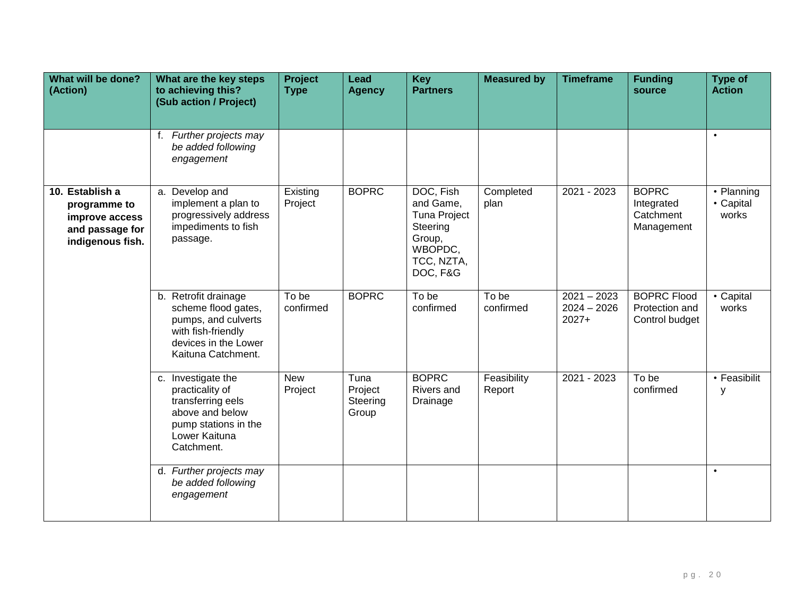| What will be done?<br>(Action)                                                           | What are the key steps<br>to achieving this?<br>(Sub action / Project)                                                                 | <b>Project</b><br><b>Type</b> | Lead<br><b>Agency</b>                | <b>Key</b><br><b>Partners</b>                                                                            | <b>Measured by</b>    | <b>Timeframe</b>                          | <b>Funding</b><br>source                               | <b>Type of</b><br><b>Action</b>  |
|------------------------------------------------------------------------------------------|----------------------------------------------------------------------------------------------------------------------------------------|-------------------------------|--------------------------------------|----------------------------------------------------------------------------------------------------------|-----------------------|-------------------------------------------|--------------------------------------------------------|----------------------------------|
|                                                                                          | f. Further projects may<br>be added following<br>engagement                                                                            |                               |                                      |                                                                                                          |                       |                                           |                                                        | $\bullet$                        |
| 10. Establish a<br>programme to<br>improve access<br>and passage for<br>indigenous fish. | a. Develop and<br>implement a plan to<br>progressively address<br>impediments to fish<br>passage.                                      | Existing<br>Project           | <b>BOPRC</b>                         | DOC, Fish<br>and Game,<br><b>Tuna Project</b><br>Steering<br>Group,<br>WBOPDC,<br>TCC, NZTA,<br>DOC, F&G | Completed<br>plan     | $2021 - 2023$                             | <b>BOPRC</b><br>Integrated<br>Catchment<br>Management  | • Planning<br>• Capital<br>works |
|                                                                                          | b. Retrofit drainage<br>scheme flood gates,<br>pumps, and culverts<br>with fish-friendly<br>devices in the Lower<br>Kaituna Catchment. | To be<br>confirmed            | <b>BOPRC</b>                         | To be<br>confirmed                                                                                       | To be<br>confirmed    | $2021 - 2023$<br>$2024 - 2026$<br>$2027+$ | <b>BOPRC Flood</b><br>Protection and<br>Control budget | • Capital<br>works               |
|                                                                                          | c. Investigate the<br>practicality of<br>transferring eels<br>above and below<br>pump stations in the<br>Lower Kaituna<br>Catchment.   | <b>New</b><br>Project         | Tuna<br>Project<br>Steering<br>Group | <b>BOPRC</b><br>Rivers and<br>Drainage                                                                   | Feasibility<br>Report | 2021 - 2023                               | To be<br>confirmed                                     | • Feasibilit<br>У                |
|                                                                                          | d. Further projects may<br>be added following<br>engagement                                                                            |                               |                                      |                                                                                                          |                       |                                           |                                                        | $\bullet$                        |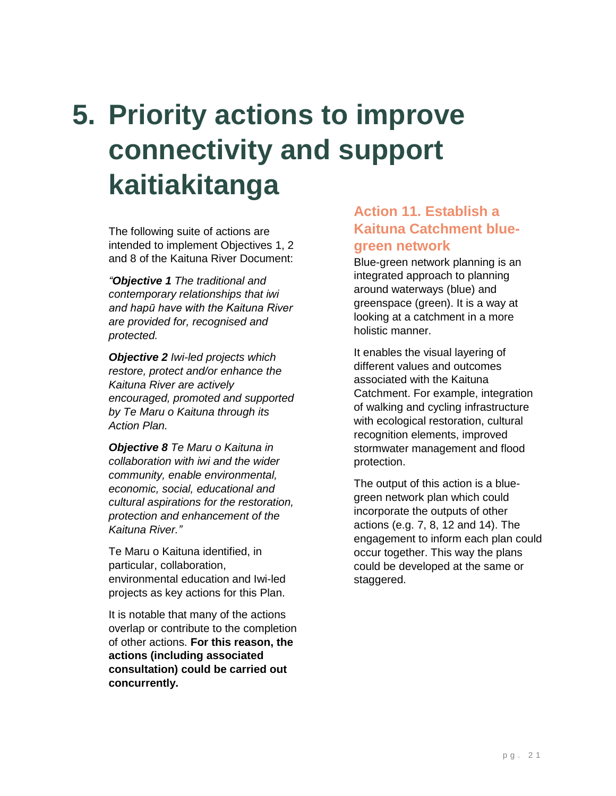# <span id="page-22-0"></span>**5. Priority actions to improve connectivity and support kaitiakitanga**

The following suite of actions are intended to implement Objectives 1, 2 and 8 of the Kaituna River Document:

*"Objective 1 The traditional and contemporary relationships that iwi and hapū have with the Kaituna River are provided for, recognised and protected.*

*Objective 2 Iwi-led projects which restore, protect and/or enhance the Kaituna River are actively encouraged, promoted and supported by Te Maru o Kaituna through its Action Plan.*

*Objective 8 Te Maru o Kaituna in collaboration with iwi and the wider community, enable environmental, economic, social, educational and cultural aspirations for the restoration, protection and enhancement of the Kaituna River."*

Te Maru o Kaituna identified, in particular, collaboration, environmental education and Iwi-led projects as key actions for this Plan.

It is notable that many of the actions overlap or contribute to the completion of other actions. **For this reason, the actions (including associated consultation) could be carried out concurrently.**

#### **Action 11. Establish a Kaituna Catchment bluegreen network**

Blue-green network planning is an integrated approach to planning around waterways (blue) and greenspace (green). It is a way at looking at a catchment in a more holistic manner.

It enables the visual layering of different values and outcomes associated with the Kaituna Catchment. For example, integration of walking and cycling infrastructure with ecological restoration, cultural recognition elements, improved stormwater management and flood protection.

The output of this action is a bluegreen network plan which could incorporate the outputs of other actions (e.g. 7, 8, 12 and 14). The engagement to inform each plan could occur together. This way the plans could be developed at the same or staggered.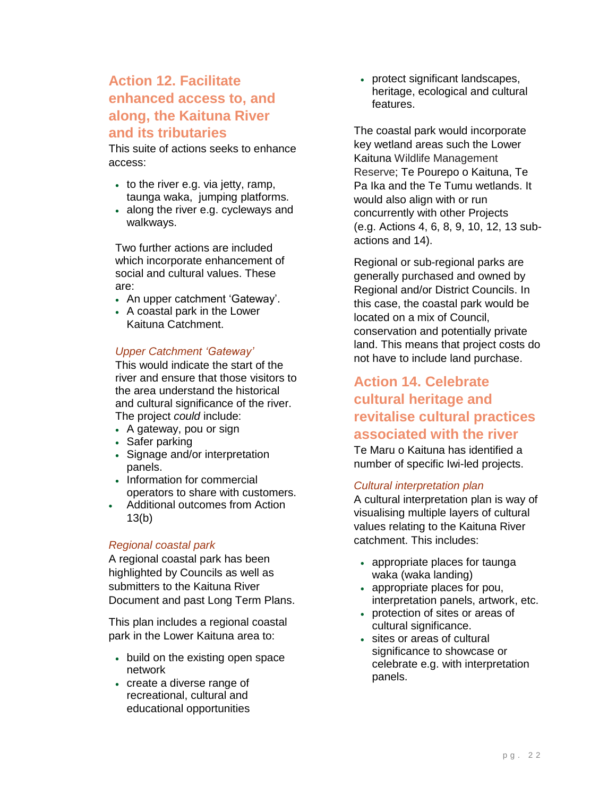#### **Action 12. Facilitate enhanced access to, and along, the Kaituna River and its tributaries**

This suite of actions seeks to enhance access:

- to the river e.g. via jetty, ramp, taunga waka, jumping platforms.
- along the river e.g. cycleways and walkways.

Two further actions are included which incorporate enhancement of social and cultural values. These are:

- An upper catchment 'Gateway'.
- A coastal park in the Lower Kaituna Catchment.

#### *Upper Catchment 'Gateway'*

This would indicate the start of the river and ensure that those visitors to the area understand the historical and cultural significance of the river. The project *could* include:

- A gateway, pou or sign
- Safer parking
- Signage and/or interpretation panels.
- Information for commercial operators to share with customers.
- Additional outcomes from Action 13(b)

#### *Regional coastal park*

A regional coastal park has been highlighted by Councils as well as submitters to the Kaituna River Document and past Long Term Plans.

This plan includes a regional coastal park in the Lower Kaituna area to:

- build on the existing open space network
- create a diverse range of recreational, cultural and educational opportunities

• protect significant landscapes, heritage, ecological and cultural features.

The coastal park would incorporate key wetland areas such the Lower Kaituna Wildlife Management Reserve; Te Pourepo o Kaituna, Te Pa Ika and the Te Tumu wetlands. It would also align with or run concurrently with other Projects (e.g. Actions 4, 6, 8, 9, 10, 12, 13 subactions and 14).

Regional or sub-regional parks are generally purchased and owned by Regional and/or District Councils. In this case, the coastal park would be located on a mix of Council, conservation and potentially private land. This means that project costs do not have to include land purchase.

#### **Action 14. Celebrate cultural heritage and revitalise cultural practices associated with the river**

Te Maru o Kaituna has identified a number of specific Iwi-led projects.

#### *Cultural interpretation plan*

A cultural interpretation plan is way of visualising multiple layers of cultural values relating to the Kaituna River catchment. This includes:

- appropriate places for taunga waka (waka landing)
- appropriate places for pou, interpretation panels, artwork, etc.
- protection of sites or areas of cultural significance.
- sites or areas of cultural significance to showcase or celebrate e.g. with interpretation panels.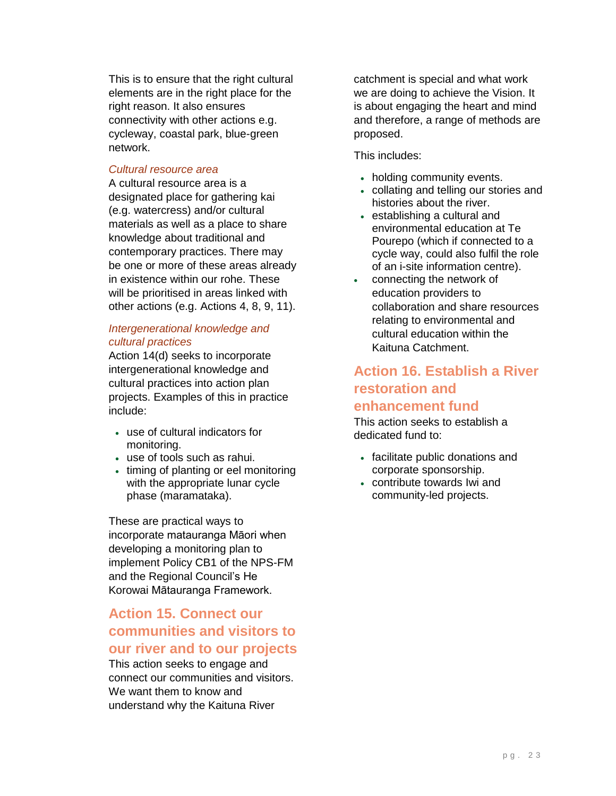This is to ensure that the right cultural elements are in the right place for the right reason. It also ensures connectivity with other actions e.g. cycleway, coastal park, blue-green network.

#### *Cultural resource area*

A cultural resource area is a designated place for gathering kai (e.g. watercress) and/or cultural materials as well as a place to share knowledge about traditional and contemporary practices. There may be one or more of these areas already in existence within our rohe. These will be prioritised in areas linked with other actions (e.g. Actions 4, 8, 9, 11).

#### *Intergenerational knowledge and cultural practices*

Action 14(d) seeks to incorporate intergenerational knowledge and cultural practices into action plan projects. Examples of this in practice include:

- use of cultural indicators for monitoring.
- use of tools such as rahui.
- timing of planting or eel monitoring with the appropriate lunar cycle phase (maramataka).

These are practical ways to incorporate matauranga Māori when developing a monitoring plan to implement Policy CB1 of the NPS-FM and the Regional Council's He Korowai Mātauranga Framework.

#### **Action 15. Connect our communities and visitors to our river and to our projects**

This action seeks to engage and connect our communities and visitors. We want them to know and understand why the Kaituna River

catchment is special and what work we are doing to achieve the Vision. It is about engaging the heart and mind and therefore, a range of methods are proposed.

This includes:

- holding community events.
- collating and telling our stories and histories about the river.
- establishing a cultural and environmental education at Te Pourepo (which if connected to a cycle way, could also fulfil the role of an i-site information centre).
- connecting the network of education providers to collaboration and share resources relating to environmental and cultural education within the Kaituna Catchment.

#### **Action 16. Establish a River restoration and enhancement fund**

This action seeks to establish a dedicated fund to:

- facilitate public donations and corporate sponsorship.
- contribute towards Iwi and community-led projects.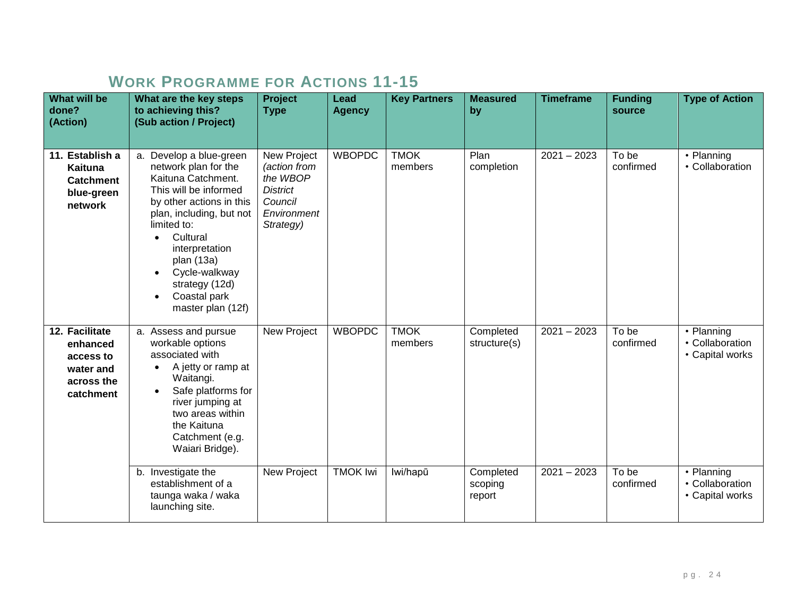## **WORK PROGRAMME FOR ACTIONS 11-15**

| <b>What will be</b><br>done?<br>(Action)                                        | What are the key steps<br>to achieving this?<br>(Sub action / Project)                                                                                                                                                                                                                                 | Project<br><b>Type</b>                                                                            | Lead<br><b>Agency</b>            | <b>Key Partners</b>                | <b>Measured</b><br>by                  | <b>Timeframe</b>               | <b>Funding</b><br>source    | <b>Type of Action</b>                                          |
|---------------------------------------------------------------------------------|--------------------------------------------------------------------------------------------------------------------------------------------------------------------------------------------------------------------------------------------------------------------------------------------------------|---------------------------------------------------------------------------------------------------|----------------------------------|------------------------------------|----------------------------------------|--------------------------------|-----------------------------|----------------------------------------------------------------|
| 11. Establish a<br>Kaituna<br><b>Catchment</b><br>blue-green<br>network         | a. Develop a blue-green<br>network plan for the<br>Kaituna Catchment.<br>This will be informed<br>by other actions in this<br>plan, including, but not<br>limited to:<br>Cultural<br>interpretation<br>plan (13a)<br>Cycle-walkway<br>strategy (12d)<br>Coastal park<br>$\bullet$<br>master plan (12f) | New Project<br>(action from<br>the WBOP<br><b>District</b><br>Council<br>Environment<br>Strategy) | <b>WBOPDC</b>                    | <b>TMOK</b><br>members             | Plan<br>completion                     | $2021 - 2023$                  | To be<br>confirmed          | • Planning<br>• Collaboration                                  |
| 12. Facilitate<br>enhanced<br>access to<br>water and<br>across the<br>catchment | a. Assess and pursue<br>workable options<br>associated with<br>A jetty or ramp at<br>$\bullet$<br>Waitangi.<br>Safe platforms for<br>river jumping at<br>two areas within<br>the Kaituna<br>Catchment (e.g.<br>Waiari Bridge).<br>b. Investigate the                                                   | New Project<br>New Project                                                                        | <b>WBOPDC</b><br><b>TMOK Iwi</b> | <b>TMOK</b><br>members<br>lwi/hapū | Completed<br>structure(s)<br>Completed | $2021 - 2023$<br>$2021 - 2023$ | To be<br>confirmed<br>To be | • Planning<br>• Collaboration<br>• Capital works<br>• Planning |
|                                                                                 | establishment of a<br>taunga waka / waka<br>launching site.                                                                                                                                                                                                                                            |                                                                                                   |                                  |                                    | scoping<br>report                      |                                | confirmed                   | • Collaboration<br>• Capital works                             |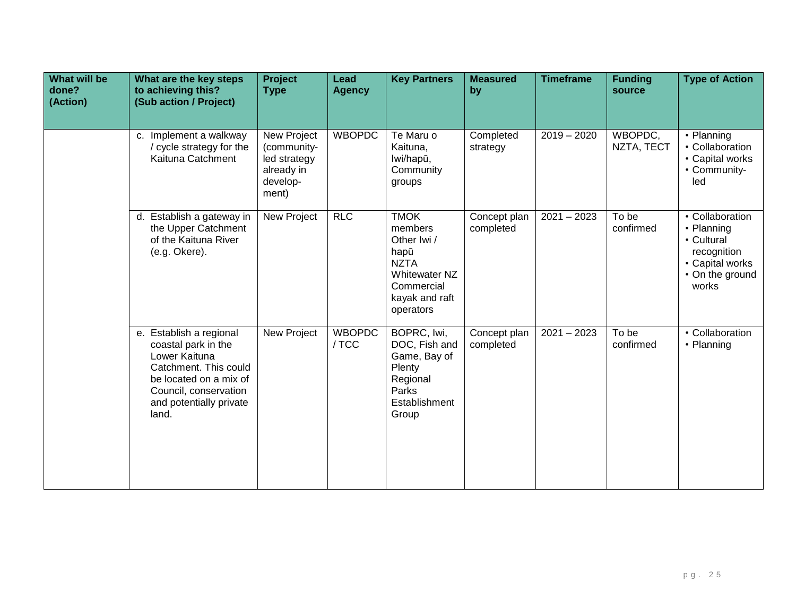| <b>What will be</b><br>done?<br>(Action) | What are the key steps<br>to achieving this?<br>(Sub action / Project)                                                                                                          | <b>Project</b><br><b>Type</b>                                                 | Lead<br><b>Agency</b>  | <b>Key Partners</b>                                                                                                               | <b>Measured</b><br>by     | <b>Timeframe</b> | <b>Funding</b><br>source | <b>Type of Action</b>                                                                                     |
|------------------------------------------|---------------------------------------------------------------------------------------------------------------------------------------------------------------------------------|-------------------------------------------------------------------------------|------------------------|-----------------------------------------------------------------------------------------------------------------------------------|---------------------------|------------------|--------------------------|-----------------------------------------------------------------------------------------------------------|
|                                          | c. Implement a walkway<br>/ cycle strategy for the<br>Kaituna Catchment                                                                                                         | New Project<br>(community-<br>led strategy<br>already in<br>develop-<br>ment) | <b>WBOPDC</b>          | Te Maru o<br>Kaituna,<br>lwi/hapū,<br>Community<br>groups                                                                         | Completed<br>strategy     | $2019 - 2020$    | WBOPDC,<br>NZTA, TECT    | • Planning<br>• Collaboration<br>• Capital works<br>• Community-<br>led                                   |
|                                          | d. Establish a gateway in<br>the Upper Catchment<br>of the Kaituna River<br>(e.g. Okere).                                                                                       | <b>New Project</b>                                                            | RLC                    | <b>TMOK</b><br>members<br>Other Iwi /<br>hapū<br><b>NZTA</b><br><b>Whitewater NZ</b><br>Commercial<br>kayak and raft<br>operators | Concept plan<br>completed | $2021 - 2023$    | To be<br>confirmed       | • Collaboration<br>• Planning<br>• Cultural<br>recognition<br>• Capital works<br>• On the ground<br>works |
|                                          | e. Establish a regional<br>coastal park in the<br>Lower Kaituna<br>Catchment. This could<br>be located on a mix of<br>Council, conservation<br>and potentially private<br>land. | New Project                                                                   | <b>WBOPDC</b><br>/ TCC | BOPRC, Iwi,<br>DOC, Fish and<br>Game, Bay of<br>Plenty<br>Regional<br>Parks<br>Establishment<br>Group                             | Concept plan<br>completed | $2021 - 2023$    | To be<br>confirmed       | • Collaboration<br>• Planning                                                                             |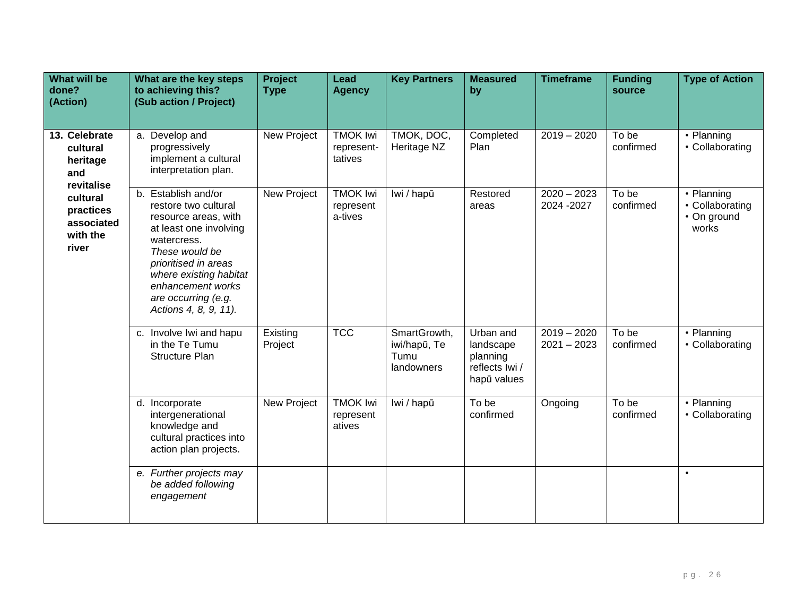| <b>What will be</b><br>done?<br>(Action)                                                                               | What are the key steps<br>to achieving this?<br>(Sub action / Project)                                                                                                                                                                                | <b>Project</b><br><b>Type</b> | Lead<br><b>Agency</b>                    | <b>Key Partners</b>                                | <b>Measured</b><br>by                                               | <b>Timeframe</b>               | <b>Funding</b><br>source | <b>Type of Action</b>                                 |
|------------------------------------------------------------------------------------------------------------------------|-------------------------------------------------------------------------------------------------------------------------------------------------------------------------------------------------------------------------------------------------------|-------------------------------|------------------------------------------|----------------------------------------------------|---------------------------------------------------------------------|--------------------------------|--------------------------|-------------------------------------------------------|
| 13. Celebrate<br>cultural<br>heritage<br>and<br>revitalise<br>cultural<br>practices<br>associated<br>with the<br>river | a. Develop and<br>progressively<br>implement a cultural<br>interpretation plan.                                                                                                                                                                       | New Project                   | <b>TMOK Iwi</b><br>represent-<br>tatives | TMOK, DOC,<br>Heritage NZ                          | Completed<br>Plan                                                   | $2019 - 2020$                  | To be<br>confirmed       | • Planning<br>• Collaborating                         |
|                                                                                                                        | b. Establish and/or<br>restore two cultural<br>resource areas, with<br>at least one involving<br>watercress.<br>These would be<br>prioritised in areas<br>where existing habitat<br>enhancement works<br>are occurring (e.g.<br>Actions 4, 8, 9, 11). | New Project                   | <b>TMOK Iwi</b><br>represent<br>a-tives  | lwi / hapū                                         | Restored<br>areas                                                   | $2020 - 2023$<br>2024 - 2027   | To be<br>confirmed       | • Planning<br>• Collaborating<br>• On ground<br>works |
|                                                                                                                        | c. Involve Iwi and hapu<br>in the Te Tumu<br><b>Structure Plan</b>                                                                                                                                                                                    | Existing<br>Project           | <b>TCC</b>                               | SmartGrowth,<br>iwi/hapū, Te<br>Tumu<br>landowners | Urban and<br>landscape<br>planning<br>reflects Iwi /<br>hapū values | $2019 - 2020$<br>$2021 - 2023$ | To be<br>confirmed       | • Planning<br>• Collaborating                         |
|                                                                                                                        | d. Incorporate<br>intergenerational<br>knowledge and<br>cultural practices into<br>action plan projects.                                                                                                                                              | New Project                   | <b>TMOK Iwi</b><br>represent<br>atives   | lwi / hapū                                         | To be<br>confirmed                                                  | Ongoing                        | To be<br>confirmed       | • Planning<br>• Collaborating                         |
|                                                                                                                        | e. Further projects may<br>be added following<br>engagement                                                                                                                                                                                           |                               |                                          |                                                    |                                                                     |                                |                          | $\bullet$                                             |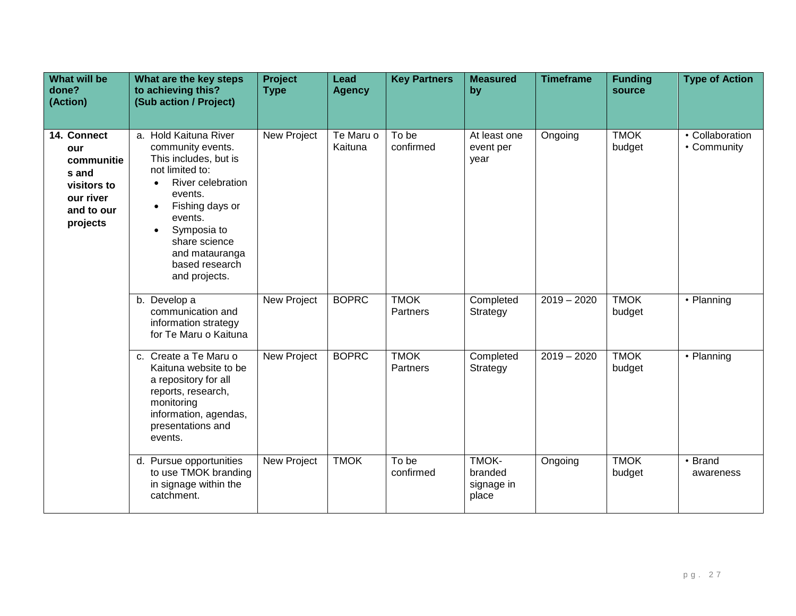| <b>What will be</b><br>done?<br>(Action)                                                        | What are the key steps<br>to achieving this?<br>(Sub action / Project)                                                                                                                                                                                                           | <b>Project</b><br><b>Type</b> | Lead<br><b>Agency</b> | <b>Key Partners</b>            | <b>Measured</b><br>by                   | <b>Timeframe</b> | <b>Funding</b><br>source | <b>Type of Action</b>          |
|-------------------------------------------------------------------------------------------------|----------------------------------------------------------------------------------------------------------------------------------------------------------------------------------------------------------------------------------------------------------------------------------|-------------------------------|-----------------------|--------------------------------|-----------------------------------------|------------------|--------------------------|--------------------------------|
| 14. Connect<br>our<br>communitie<br>s and<br>visitors to<br>our river<br>and to our<br>projects | a. Hold Kaituna River<br>community events.<br>This includes, but is<br>not limited to:<br>River celebration<br>$\bullet$<br>events.<br>Fishing days or<br>$\bullet$<br>events.<br>Symposia to<br>$\bullet$<br>share science<br>and matauranga<br>based research<br>and projects. | New Project                   | Te Maru o<br>Kaituna  | To be<br>confirmed             | At least one<br>event per<br>year       | Ongoing          | <b>TMOK</b><br>budget    | • Collaboration<br>• Community |
|                                                                                                 | b. Develop a<br>communication and<br>information strategy<br>for Te Maru o Kaituna                                                                                                                                                                                               | New Project                   | <b>BOPRC</b>          | <b>TMOK</b><br><b>Partners</b> | Completed<br>Strategy                   | $2019 - 2020$    | <b>TMOK</b><br>budget    | • Planning                     |
|                                                                                                 | c. Create a Te Maru o<br>Kaituna website to be<br>a repository for all<br>reports, research,<br>monitoring<br>information, agendas,<br>presentations and<br>events.                                                                                                              | New Project                   | <b>BOPRC</b>          | <b>TMOK</b><br>Partners        | Completed<br>Strategy                   | $2019 - 2020$    | <b>TMOK</b><br>budget    | • Planning                     |
|                                                                                                 | d. Pursue opportunities<br>to use TMOK branding<br>in signage within the<br>catchment.                                                                                                                                                                                           | New Project                   | <b>TMOK</b>           | To be<br>confirmed             | TMOK-<br>branded<br>signage in<br>place | Ongoing          | <b>TMOK</b><br>budget    | • Brand<br>awareness           |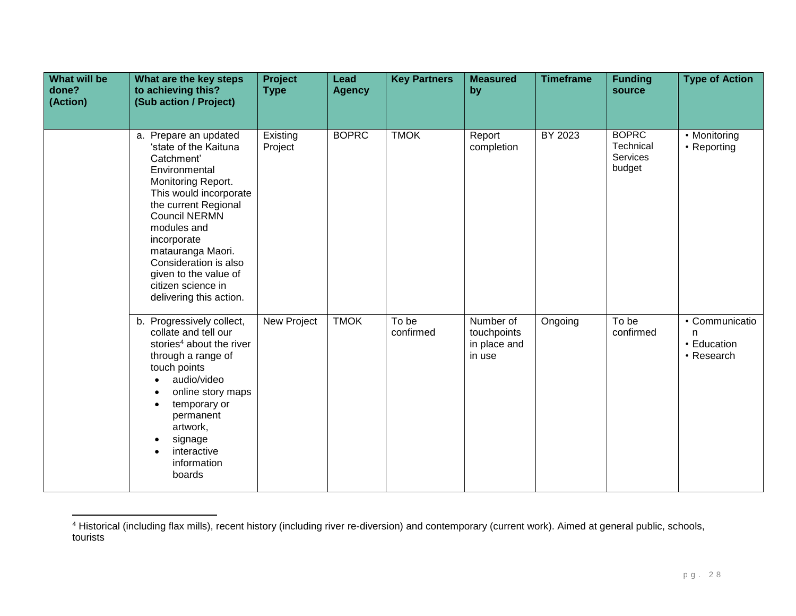| <b>What will be</b><br>done?<br>(Action) | What are the key steps<br>to achieving this?<br>(Sub action / Project)                                                                                                                                                                                                                                                              | Project<br><b>Type</b> | Lead<br><b>Agency</b> | <b>Key Partners</b> | <b>Measured</b><br>by                              | <b>Timeframe</b> | <b>Funding</b><br>source                        | <b>Type of Action</b>                            |
|------------------------------------------|-------------------------------------------------------------------------------------------------------------------------------------------------------------------------------------------------------------------------------------------------------------------------------------------------------------------------------------|------------------------|-----------------------|---------------------|----------------------------------------------------|------------------|-------------------------------------------------|--------------------------------------------------|
|                                          | a. Prepare an updated<br>'state of the Kaituna<br>Catchment'<br>Environmental<br>Monitoring Report.<br>This would incorporate<br>the current Regional<br><b>Council NERMN</b><br>modules and<br>incorporate<br>matauranga Maori.<br>Consideration is also<br>given to the value of<br>citizen science in<br>delivering this action. | Existing<br>Project    | <b>BOPRC</b>          | <b>TMOK</b>         | Report<br>completion                               | BY 2023          | <b>BOPRC</b><br>Technical<br>Services<br>budget | • Monitoring<br>• Reporting                      |
|                                          | b. Progressively collect,<br>collate and tell our<br>stories <sup>4</sup> about the river<br>through a range of<br>touch points<br>audio/video<br>online story maps<br>temporary or<br>permanent<br>artwork,<br>signage<br>interactive<br>information<br>boards                                                                     | New Project            | <b>TMOK</b>           | To be<br>confirmed  | Number of<br>touchpoints<br>in place and<br>in use | Ongoing          | To be<br>confirmed                              | • Communicatio<br>n<br>• Education<br>• Research |

<sup>4</sup> Historical (including flax mills), recent history (including river re-diversion) and contemporary (current work). Aimed at general public, schools, tourists

 $\overline{a}$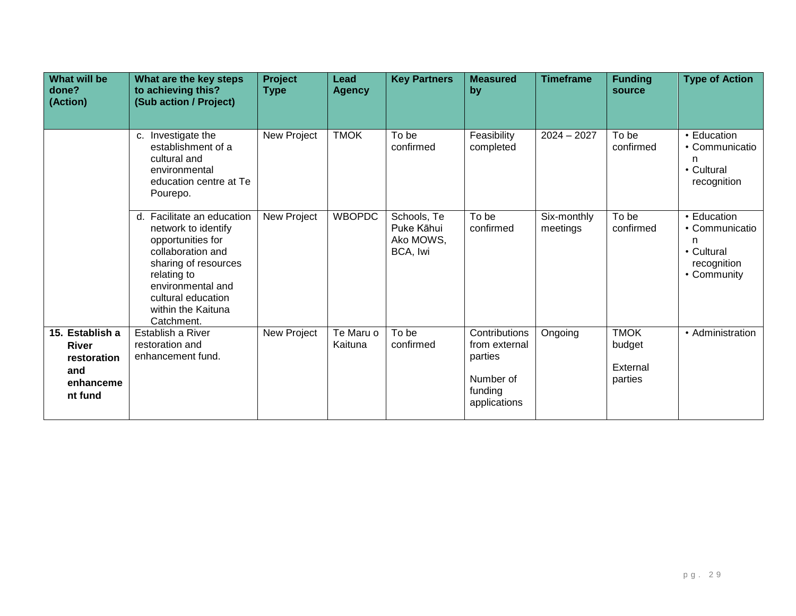| What will be<br>done?<br>(Action)                                             | What are the key steps<br>to achieving this?<br>(Sub action / Project)                                                                                                                                            | <b>Project</b><br><b>Type</b> | Lead<br><b>Agency</b> | <b>Key Partners</b>                                | <b>Measured</b><br>by                                                             | <b>Timeframe</b>        | <b>Funding</b><br>source                     | <b>Type of Action</b>                                                          |
|-------------------------------------------------------------------------------|-------------------------------------------------------------------------------------------------------------------------------------------------------------------------------------------------------------------|-------------------------------|-----------------------|----------------------------------------------------|-----------------------------------------------------------------------------------|-------------------------|----------------------------------------------|--------------------------------------------------------------------------------|
|                                                                               |                                                                                                                                                                                                                   |                               |                       |                                                    |                                                                                   |                         |                                              |                                                                                |
|                                                                               | c. Investigate the<br>establishment of a<br>cultural and<br>environmental<br>education centre at Te<br>Pourepo.                                                                                                   | New Project                   | <b>TMOK</b>           | To be<br>confirmed                                 | Feasibility<br>completed                                                          | $2024 - 2027$           | To be<br>confirmed                           | • Education<br>• Communicatio<br>• Cultural<br>recognition                     |
|                                                                               | d. Facilitate an education<br>network to identify<br>opportunities for<br>collaboration and<br>sharing of resources<br>relating to<br>environmental and<br>cultural education<br>within the Kaituna<br>Catchment. | New Project                   | <b>WBOPDC</b>         | Schools, Te<br>Puke Kāhui<br>Ako MOWS,<br>BCA, Iwi | To be<br>confirmed                                                                | Six-monthly<br>meetings | To be<br>confirmed                           | • Education<br>• Communicatio<br>n<br>• Cultural<br>recognition<br>• Community |
| 15. Establish a<br><b>River</b><br>restoration<br>and<br>enhanceme<br>nt fund | Establish a River<br>restoration and<br>enhancement fund.                                                                                                                                                         | New Project                   | Te Maru o<br>Kaituna  | To be<br>confirmed                                 | Contributions<br>from external<br>parties<br>Number of<br>funding<br>applications | Ongoing                 | <b>TMOK</b><br>budget<br>External<br>parties | • Administration                                                               |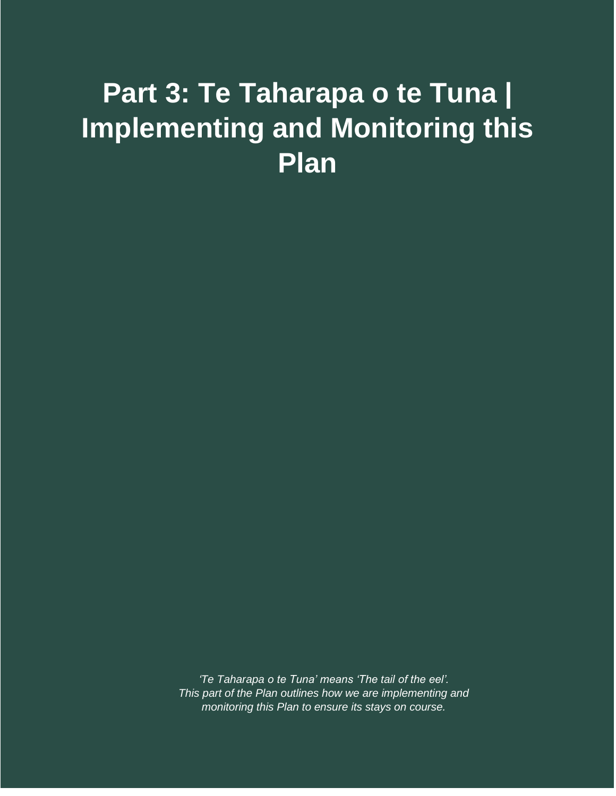# <span id="page-31-0"></span>**Part 3: Te Taharapa o te Tuna | Implementing and Monitoring this Plan**

*'Te Taharapa o te Tuna' means 'The tail of the eel'. This part of the Plan outlines how we are implementing and monitoring this Plan to ensure its stays on course.*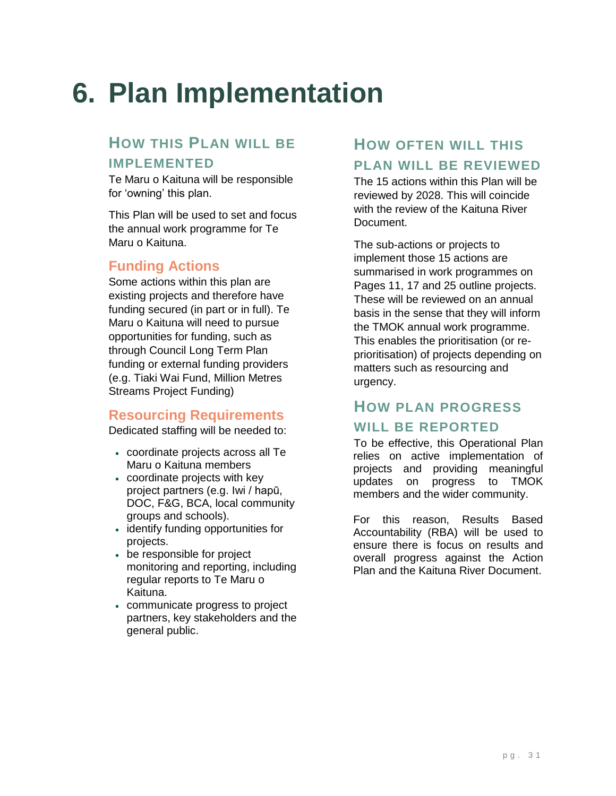# <span id="page-32-0"></span>**6. Plan Implementation**

#### **HOW THIS PLAN WILL BE**

#### **IMPLEMENTED**

Te Maru o Kaituna will be responsible for 'owning' this plan.

This Plan will be used to set and focus the annual work programme for Te Maru o Kaituna.

#### **Funding Actions**

Some actions within this plan are existing projects and therefore have funding secured (in part or in full). Te Maru o Kaituna will need to pursue opportunities for funding, such as through Council Long Term Plan funding or external funding providers (e.g. Tiaki Wai Fund, Million Metres Streams Project Funding)

#### **Resourcing Requirements**

Dedicated staffing will be needed to:

- coordinate projects across all Te Maru o Kaituna members
- coordinate projects with key project partners (e.g. Iwi / hapū, DOC, F&G, BCA, local community groups and schools).
- identify funding opportunities for projects.
- be responsible for project monitoring and reporting, including regular reports to Te Maru o Kaituna.
- communicate progress to project partners, key stakeholders and the general public.

### **HOW OFTEN WILL THIS PLAN WILL BE REVIEWED**

The 15 actions within this Plan will be reviewed by 2028. This will coincide with the review of the Kaituna River Document.

The sub-actions or projects to implement those 15 actions are summarised in work programmes on Pages 11, 17 and 25 outline projects. These will be reviewed on an annual basis in the sense that they will inform the TMOK annual work programme. This enables the prioritisation (or reprioritisation) of projects depending on matters such as resourcing and urgency.

#### **HOW PLAN PROGRESS**

#### **WILL BE REPORTED**

To be effective, this Operational Plan relies on active implementation of projects and providing meaningful updates on progress to TMOK members and the wider community.

For this reason, Results Based Accountability (RBA) will be used to ensure there is focus on results and overall progress against the Action Plan and the Kaituna River Document.